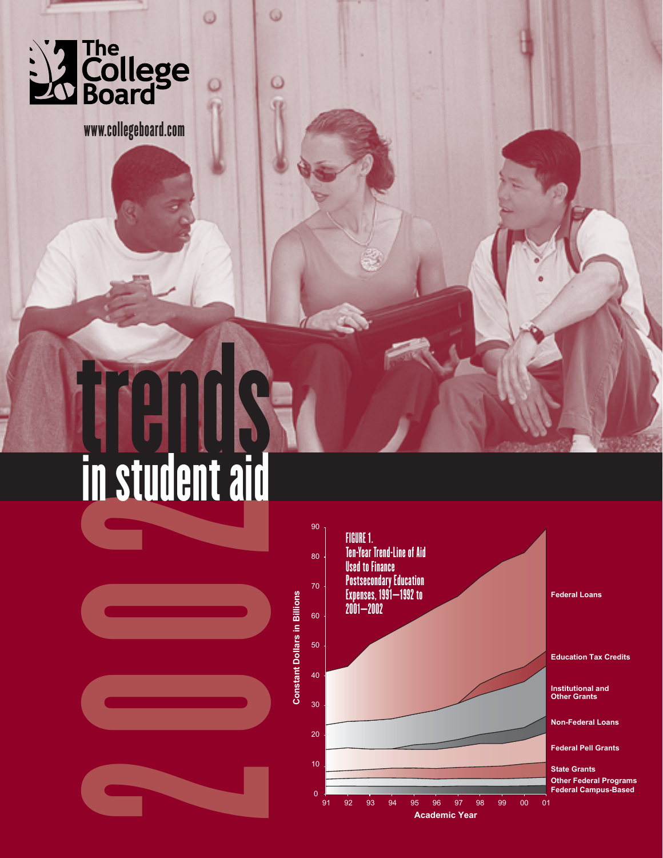

www.collegeboard.com

ω

# in student aid



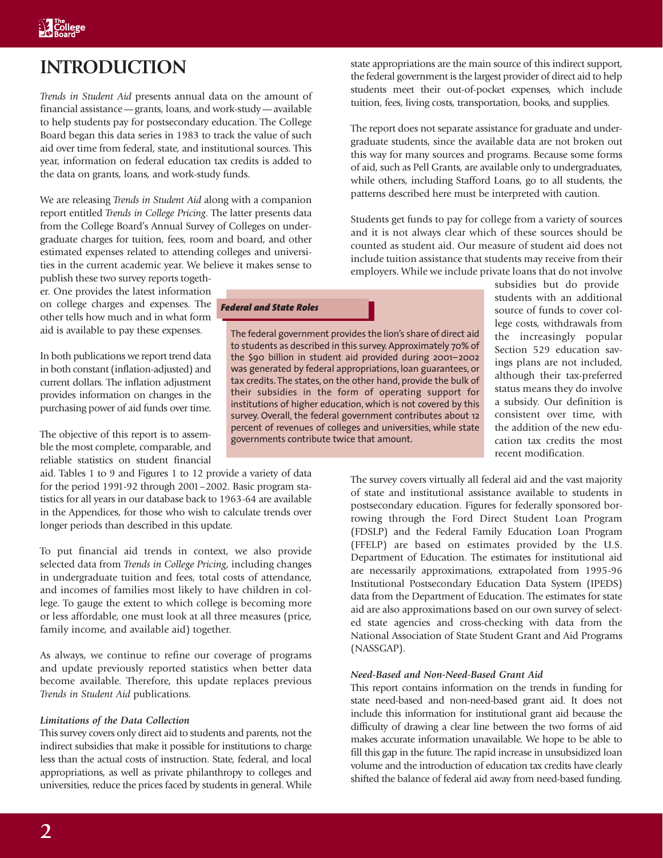# **INTRODUCTION**

*Trends in Student Aid* presents annual data on the amount of financial assistance—grants, loans, and work-study—available to help students pay for postsecondary education. The College Board began this data series in 1983 to track the value of such aid over time from federal, state, and institutional sources. This year, information on federal education tax credits is added to the data on grants, loans, and work-study funds.

We are releasing *Trends in Student Aid* along with a companion report entitled *Trends in College Pricing*. The latter presents data from the College Board's Annual Survey of Colleges on undergraduate charges for tuition, fees, room and board, and other estimated expenses related to attending colleges and universities in the current academic year. We believe it makes sense to

publish these two survey reports together. One provides the latest information on college charges and expenses. The other tells how much and in what form aid is available to pay these expenses.

In both publications we report trend data in both constant (inflation-adjusted) and current dollars. The inflation adjustment provides information on changes in the purchasing power of aid funds over time.

The objective of this report is to assemble the most complete, comparable, and reliable statistics on student financial

aid. Tables 1 to 9 and Figures 1 to 12 provide a variety of data for the period 1991-92 through 2001–2002. Basic program statistics for all years in our database back to 1963-64 are available in the Appendices, for those who wish to calculate trends over longer periods than described in this update.

To put financial aid trends in context, we also provide selected data from *Trends in College Pricing*, including changes in undergraduate tuition and fees, total costs of attendance, and incomes of families most likely to have children in college. To gauge the extent to which college is becoming more or less affordable, one must look at all three measures (price, family income, and available aid) together.

As always, we continue to refine our coverage of programs and update previously reported statistics when better data become available. Therefore, this update replaces previous *Trends in Student Aid* publications.

# *Limitations of the Data Collection*

This survey covers only direct aid to students and parents, not the indirect subsidies that make it possible for institutions to charge less than the actual costs of instruction. State, federal, and local appropriations, as well as private philanthropy to colleges and universities, reduce the prices faced by students in general. While

*Federal and State Roles*

The federal government provides the lion's share of direct aid to students as described in this survey. Approximately 70% of the \$90 billion in student aid provided during 2001–2002 was generated by federal appropriations, loan guarantees, or tax credits. The states, on the other hand, provide the bulk of their subsidies in the form of operating support for institutions of higher education, which is not covered by this survey. Overall, the federal government contributes about 12 percent of revenues of colleges and universities, while state governments contribute twice that amount.

state appropriations are the main source of this indirect support, the federal government is the largest provider of direct aid to help students meet their out-of-pocket expenses, which include tuition, fees, living costs, transportation, books, and supplies.

The report does not separate assistance for graduate and undergraduate students, since the available data are not broken out this way for many sources and programs. Because some forms of aid, such as Pell Grants, are available only to undergraduates, while others, including Stafford Loans, go to all students, the patterns described here must be interpreted with caution.

Students get funds to pay for college from a variety of sources and it is not always clear which of these sources should be counted as student aid. Our measure of student aid does not include tuition assistance that students may receive from their employers. While we include private loans that do not involve

subsidies but do provide students with an additional source of funds to cover college costs, withdrawals from the increasingly popular Section 529 education savings plans are not included, although their tax-preferred status means they do involve a subsidy. Our definition is consistent over time, with the addition of the new education tax credits the most recent modification.

The survey covers virtually all federal aid and the vast majority of state and institutional assistance available to students in postsecondary education. Figures for federally sponsored borrowing through the Ford Direct Student Loan Program (FDSLP) and the Federal Family Education Loan Program (FFELP) are based on estimates provided by the U.S. Department of Education. The estimates for institutional aid are necessarily approximations, extrapolated from 1995-96 Institutional Postsecondary Education Data System (IPEDS) data from the Department of Education. The estimates for state aid are also approximations based on our own survey of selected state agencies and cross-checking with data from the National Association of State Student Grant and Aid Programs (NASSGAP).

### *Need-Based and Non-Need-Based Grant Aid*

This report contains information on the trends in funding for state need-based and non-need-based grant aid. It does not include this information for institutional grant aid because the difficulty of drawing a clear line between the two forms of aid makes accurate information unavailable. We hope to be able to fill this gap in the future. The rapid increase in unsubsidized loan volume and the introduction of education tax credits have clearly shifted the balance of federal aid away from need-based funding.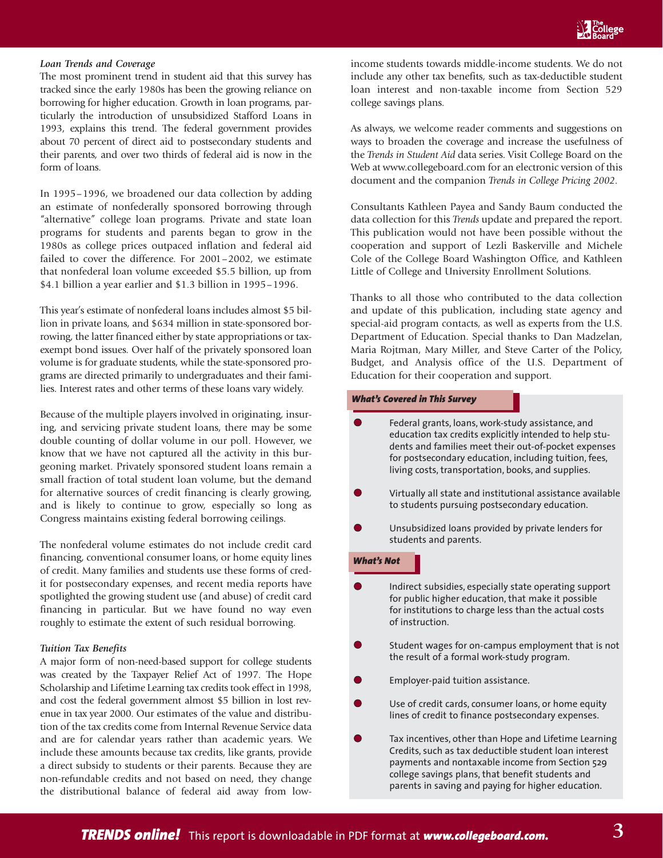### *Loan Trends and Coverage*

The most prominent trend in student aid that this survey has tracked since the early 1980s has been the growing reliance on borrowing for higher education. Growth in loan programs, particularly the introduction of unsubsidized Stafford Loans in 1993, explains this trend. The federal government provides about 70 percent of direct aid to postsecondary students and their parents, and over two thirds of federal aid is now in the form of loans.

In 1995–1996, we broadened our data collection by adding an estimate of nonfederally sponsored borrowing through "alternative" college loan programs. Private and state loan programs for students and parents began to grow in the 1980s as college prices outpaced inflation and federal aid failed to cover the difference. For 2001–2002, we estimate that nonfederal loan volume exceeded \$5.5 billion, up from \$4.1 billion a year earlier and \$1.3 billion in 1995–1996.

This year's estimate of nonfederal loans includes almost \$5 billion in private loans, and \$634 million in state-sponsored borrowing, the latter financed either by state appropriations or taxexempt bond issues. Over half of the privately sponsored loan volume is for graduate students, while the state-sponsored programs are directed primarily to undergraduates and their families. Interest rates and other terms of these loans vary widely.

Because of the multiple players involved in originating, insuring, and servicing private student loans, there may be some double counting of dollar volume in our poll. However, we know that we have not captured all the activity in this burgeoning market. Privately sponsored student loans remain a small fraction of total student loan volume, but the demand for alternative sources of credit financing is clearly growing, and is likely to continue to grow, especially so long as Congress maintains existing federal borrowing ceilings.

The nonfederal volume estimates do not include credit card financing, conventional consumer loans, or home equity lines of credit. Many families and students use these forms of credit for postsecondary expenses, and recent media reports have spotlighted the growing student use (and abuse) of credit card financing in particular. But we have found no way even roughly to estimate the extent of such residual borrowing.

### *Tuition Tax Benefits*

A major form of non-need-based support for college students was created by the Taxpayer Relief Act of 1997. The Hope Scholarship and Lifetime Learning tax credits took effect in 1998, and cost the federal government almost \$5 billion in lost revenue in tax year 2000. Our estimates of the value and distribution of the tax credits come from Internal Revenue Service data and are for calendar years rather than academic years. We include these amounts because tax credits, like grants, provide a direct subsidy to students or their parents. Because they are non-refundable credits and not based on need, they change the distributional balance of federal aid away from low-

income students towards middle-income students. We do not include any other tax benefits, such as tax-deductible student loan interest and non-taxable income from Section 529 college savings plans.

As always, we welcome reader comments and suggestions on ways to broaden the coverage and increase the usefulness of the *Trends in Student Aid* data series. Visit College Board on the Web at www.collegeboard.com for an electronic version of this document and the companion *Trends in College Pricing 2002*.

Consultants Kathleen Payea and Sandy Baum conducted the data collection for this *Trends* update and prepared the report. This publication would not have been possible without the cooperation and support of Lezli Baskerville and Michele Cole of the College Board Washington Office, and Kathleen Little of College and University Enrollment Solutions.

Thanks to all those who contributed to the data collection and update of this publication, including state agency and special-aid program contacts, as well as experts from the U.S. Department of Education. Special thanks to Dan Madzelan, Maria Rojtman, Mary Miller, and Steve Carter of the Policy, Budget, and Analysis office of the U.S. Department of Education for their cooperation and support.

# *What's Covered in This Survey*

- Federal grants, loans, work-study assistance, and education tax credits explicitly intended to help students and families meet their out-of-pocket expenses for postsecondary education, including tuition, fees, living costs, transportation, books, and supplies. Virtually all state and institutional assistance available to students pursuing postsecondary education. Unsubsidized loans provided by private lenders for students and parents. Indirect subsidies, especially state operating support for public higher education, that make it possible for institutions to charge less than the actual costs of instruction. Student wages for on-campus employment that is not the result of a formal work-study program. Employer-paid tuition assistance. Use of credit cards, consumer loans, or home equity lines of credit to finance postsecondary expenses. *What's Not*
	- Tax incentives, other than Hope and Lifetime Learning Credits, such as tax deductible student loan interest payments and nontaxable income from Section 529 college savings plans, that benefit students and parents in saving and paying for higher education.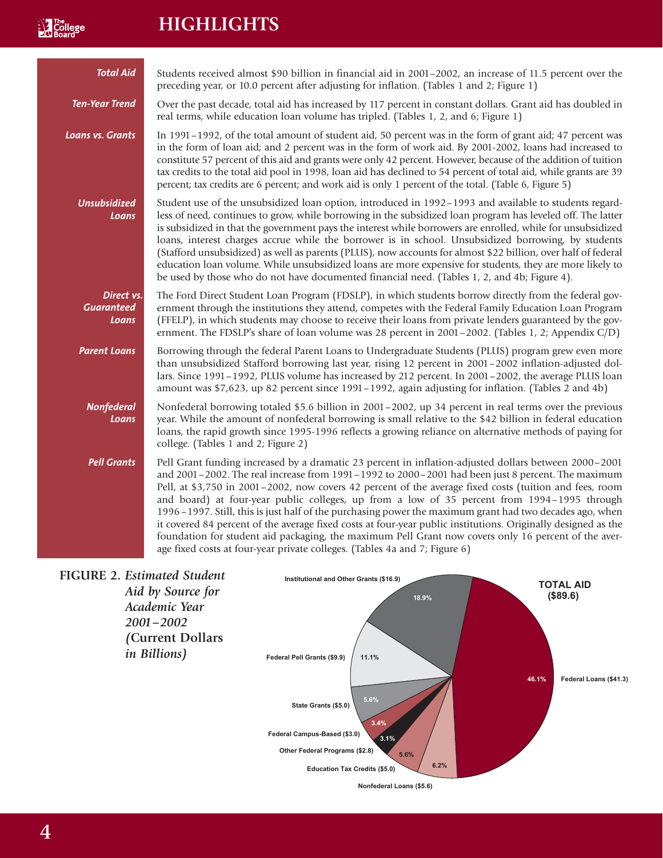# **HIGHLIGHTS**

**N** The<br>**Roard** 

| <b>Total Aid</b>                         | Students received almost \$90 billion in financial aid in 2001–2002, an increase of 11.5 percent over the<br>preceding year, or 10.0 percent after adjusting for inflation. (Tables 1 and 2; Figure 1)                                                                                                                                                                                                                                                                                                                                                                                                                                                                                                                                                                                                                                   |
|------------------------------------------|------------------------------------------------------------------------------------------------------------------------------------------------------------------------------------------------------------------------------------------------------------------------------------------------------------------------------------------------------------------------------------------------------------------------------------------------------------------------------------------------------------------------------------------------------------------------------------------------------------------------------------------------------------------------------------------------------------------------------------------------------------------------------------------------------------------------------------------|
| Ten-Year Trend                           | Over the past decade, total aid has increased by 117 percent in constant dollars. Grant aid has doubled in<br>real terms, while education loan volume has tripled. (Tables 1, 2, and 6; Figure 1)                                                                                                                                                                                                                                                                                                                                                                                                                                                                                                                                                                                                                                        |
| <b>Loans vs. Grants</b>                  | In 1991–1992, of the total amount of student aid, 50 percent was in the form of grant aid; 47 percent was<br>in the form of loan aid; and 2 percent was in the form of work aid. By 2001-2002, loans had increased to<br>constitute 57 percent of this aid and grants were only 42 percent. However, because of the addition of tuition<br>tax credits to the total aid pool in 1998, loan aid has declined to 54 percent of total aid, while grants are 39<br>percent; tax credits are 6 percent; and work aid is only 1 percent of the total. (Table 6, Figure 5)                                                                                                                                                                                                                                                                      |
| <b>Unsubsidized</b><br>Loans             | Student use of the unsubsidized loan option, introduced in 1992-1993 and available to students regard-<br>less of need, continues to grow, while borrowing in the subsidized loan program has leveled off. The latter<br>is subsidized in that the government pays the interest while borrowers are enrolled, while for unsubsidized<br>loans, interest charges accrue while the borrower is in school. Unsubsidized borrowing, by students<br>(Stafford unsubsidized) as well as parents (PLUS), now accounts for almost \$22 billion, over half of federal<br>education loan volume. While unsubsidized loans are more expensive for students, they are more likely to<br>be used by those who do not have documented financial need. (Tables 1, 2, and 4b; Figure 4).                                                                 |
| Direct vs.<br><b>Guaranteed</b><br>Loans | The Ford Direct Student Loan Program (FDSLP), in which students borrow directly from the federal gov-<br>ernment through the institutions they attend, competes with the Federal Family Education Loan Program<br>(FFELP), in which students may choose to receive their loans from private lenders guaranteed by the gov-<br>ernment. The FDSLP's share of loan volume was 28 percent in 2001-2002. (Tables 1, 2; Appendix C/D)                                                                                                                                                                                                                                                                                                                                                                                                         |
| <b>Parent Loans</b>                      | Borrowing through the federal Parent Loans to Undergraduate Students (PLUS) program grew even more<br>than unsubsidized Stafford borrowing last year, rising 12 percent in 2001-2002 inflation-adjusted dol-<br>lars. Since 1991-1992, PLUS volume has increased by 212 percent. In 2001-2002, the average PLUS loan<br>amount was \$7,623, up 82 percent since 1991-1992, again adjusting for inflation. (Tables 2 and 4b)                                                                                                                                                                                                                                                                                                                                                                                                              |
| <b>Nonfederal</b><br>Loans               | Nonfederal borrowing totaled \$5.6 billion in 2001-2002, up 34 percent in real terms over the previous<br>year. While the amount of nonfederal borrowing is small relative to the \$42 billion in federal education<br>loans, the rapid growth since 1995-1996 reflects a growing reliance on alternative methods of paying for<br>college. (Tables 1 and 2; Figure 2)                                                                                                                                                                                                                                                                                                                                                                                                                                                                   |
| <b>Pell Grants</b>                       | Pell Grant funding increased by a dramatic 23 percent in inflation-adjusted dollars between 2000–2001<br>and 2001-2002. The real increase from 1991-1992 to 2000-2001 had been just 8 percent. The maximum<br>Pell, at \$3,750 in 2001-2002, now covers 42 percent of the average fixed costs (tuition and fees, room<br>and board) at four-year public colleges, up from a low of 35 percent from 1994-1995 through<br>1996 – 1997. Still, this is just half of the purchasing power the maximum grant had two decades ago, when<br>it covered 84 percent of the average fixed costs at four-year public institutions. Originally designed as the<br>foundation for student aid packaging, the maximum Pell Grant now covers only 16 percent of the aver-<br>age fixed costs at four-year private colleges. (Tables 4a and 7; Figure 6) |

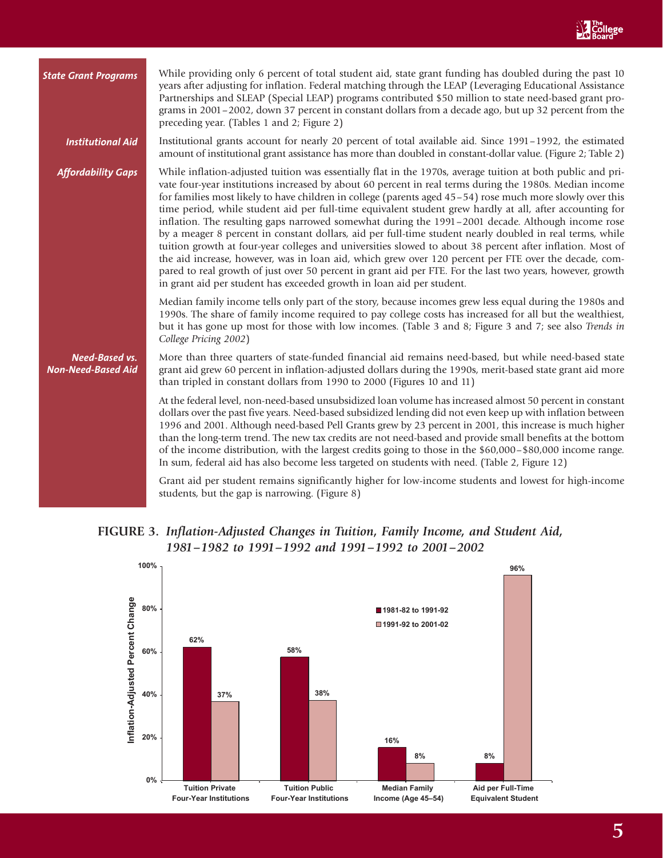| <b>State Grant Programs</b>                        | While providing only 6 percent of total student aid, state grant funding has doubled during the past 10<br>years after adjusting for inflation. Federal matching through the LEAP (Leveraging Educational Assistance<br>Partnerships and SLEAP (Special LEAP) programs contributed \$50 million to state need-based grant pro-<br>grams in 2001-2002, down 37 percent in constant dollars from a decade ago, but up 32 percent from the<br>preceding year. (Tables 1 and 2; Figure 2)                                                                                                                                                                                                                                                                                                                                                                                                                                                                                                                                                                                         |
|----------------------------------------------------|-------------------------------------------------------------------------------------------------------------------------------------------------------------------------------------------------------------------------------------------------------------------------------------------------------------------------------------------------------------------------------------------------------------------------------------------------------------------------------------------------------------------------------------------------------------------------------------------------------------------------------------------------------------------------------------------------------------------------------------------------------------------------------------------------------------------------------------------------------------------------------------------------------------------------------------------------------------------------------------------------------------------------------------------------------------------------------|
| <b>Institutional Aid</b>                           | Institutional grants account for nearly 20 percent of total available aid. Since 1991-1992, the estimated<br>amount of institutional grant assistance has more than doubled in constant-dollar value. (Figure 2; Table 2)                                                                                                                                                                                                                                                                                                                                                                                                                                                                                                                                                                                                                                                                                                                                                                                                                                                     |
| <b>Affordability Gaps</b>                          | While inflation-adjusted tuition was essentially flat in the 1970s, average tuition at both public and pri-<br>vate four-year institutions increased by about 60 percent in real terms during the 1980s. Median income<br>for families most likely to have children in college (parents aged 45-54) rose much more slowly over this<br>time period, while student aid per full-time equivalent student grew hardly at all, after accounting for<br>inflation. The resulting gaps narrowed somewhat during the 1991-2001 decade. Although income rose<br>by a meager 8 percent in constant dollars, aid per full-time student nearly doubled in real terms, while<br>tuition growth at four-year colleges and universities slowed to about 38 percent after inflation. Most of<br>the aid increase, however, was in loan aid, which grew over 120 percent per FTE over the decade, com-<br>pared to real growth of just over 50 percent in grant aid per FTE. For the last two years, however, growth<br>in grant aid per student has exceeded growth in loan aid per student. |
|                                                    | Median family income tells only part of the story, because incomes grew less equal during the 1980s and<br>1990s. The share of family income required to pay college costs has increased for all but the wealthiest,<br>but it has gone up most for those with low incomes. (Table 3 and 8; Figure 3 and 7; see also Trends in<br>College Pricing 2002)                                                                                                                                                                                                                                                                                                                                                                                                                                                                                                                                                                                                                                                                                                                       |
| <b>Need-Based vs.</b><br><b>Non-Need-Based Aid</b> | More than three quarters of state-funded financial aid remains need-based, but while need-based state<br>grant aid grew 60 percent in inflation-adjusted dollars during the 1990s, merit-based state grant aid more<br>than tripled in constant dollars from 1990 to 2000 (Figures 10 and 11)                                                                                                                                                                                                                                                                                                                                                                                                                                                                                                                                                                                                                                                                                                                                                                                 |
|                                                    | At the federal level, non-need-based unsubsidized loan volume has increased almost 50 percent in constant<br>dollars over the past five years. Need-based subsidized lending did not even keep up with inflation between<br>1996 and 2001. Although need-based Pell Grants grew by 23 percent in 2001, this increase is much higher<br>than the long-term trend. The new tax credits are not need-based and provide small benefits at the bottom<br>of the income distribution, with the largest credits going to those in the \$60,000-\$80,000 income range.<br>In sum, federal aid has also become less targeted on students with need. (Table 2, Figure 12)                                                                                                                                                                                                                                                                                                                                                                                                               |
|                                                    | Grant aid per student remains significantly higher for low-income students and lowest for high-income<br>students, but the gap is narrowing. (Figure 8)                                                                                                                                                                                                                                                                                                                                                                                                                                                                                                                                                                                                                                                                                                                                                                                                                                                                                                                       |



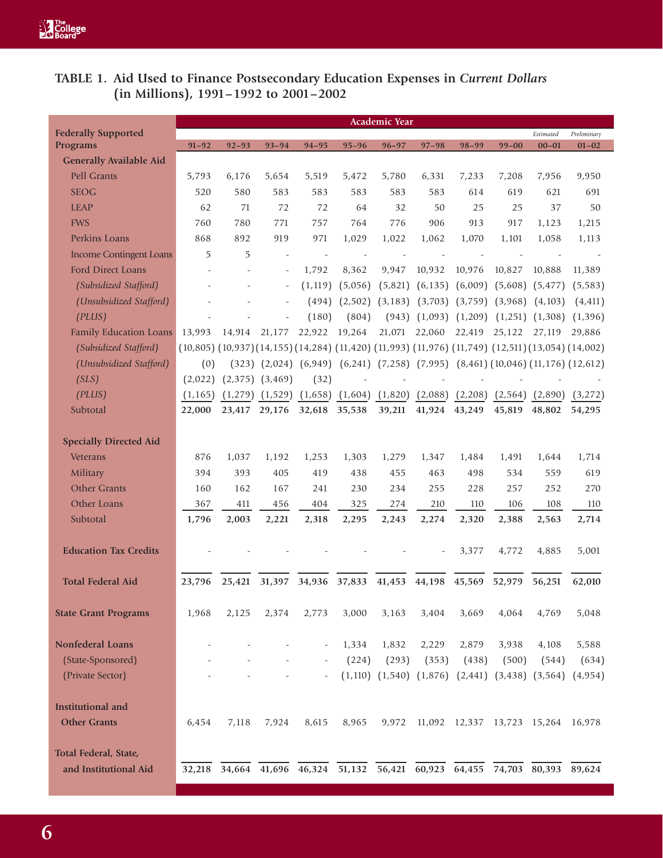# **TABLE 1. Aid Used to Finance Postsecondary Education Expenses in** *Current Dollars* **(in Millions), 1991–1992 to 2001–2002**

|                                |                                                                                                                          |               |                     |           |                                                                                                      | <b>Academic Year</b> |                      |                                    |               |                     |             |
|--------------------------------|--------------------------------------------------------------------------------------------------------------------------|---------------|---------------------|-----------|------------------------------------------------------------------------------------------------------|----------------------|----------------------|------------------------------------|---------------|---------------------|-------------|
| <b>Federally Supported</b>     |                                                                                                                          |               |                     |           |                                                                                                      |                      |                      |                                    |               | Estimated           | Preliminary |
| <b>Programs</b>                | $91 - 92$                                                                                                                | $92 - 93$     | $93 - 94$           | $94 - 95$ | $95 - 96$                                                                                            | $96 - 97$            | $97 - 98$            | $98 - 99$                          | $99 - 00$     | $00 - 01$           | $01 - 02$   |
| <b>Generally Available Aid</b> |                                                                                                                          |               |                     |           |                                                                                                      |                      |                      |                                    |               |                     |             |
| <b>Pell Grants</b>             | 5.793                                                                                                                    | 6,176         | 5,654               | 5.519     | 5,472                                                                                                | 5,780                | 6,331                | 7,233                              | 7,208         | 7,956               | 9,950       |
| <b>SEOG</b>                    | 520                                                                                                                      | 580           | 583                 | 583       | 583                                                                                                  | 583                  | 583                  | 614                                | 619           | 621                 | 691         |
| <b>LEAP</b>                    | 62                                                                                                                       | 71            | 72                  | 72        | 64                                                                                                   | 32                   | 50                   | 25                                 | 25            | 37                  | 50          |
| <b>FWS</b>                     | 760                                                                                                                      | 780           | 771                 | 757       | 764                                                                                                  | 776                  | 906                  | 913                                | 917           | 1,123               | 1,215       |
| Perkins Loans                  | 868                                                                                                                      | 892           | 919                 | 971       | 1,029                                                                                                | 1,022                | 1,062                | 1,070                              | 1,101         | 1,058               | 1,113       |
| <b>Income Contingent Loans</b> | 5                                                                                                                        | 5             |                     |           |                                                                                                      |                      |                      |                                    |               |                     |             |
| Ford Direct Loans              |                                                                                                                          |               | ÷,                  | 1,792     | 8,362                                                                                                | 9,947                | 10,932               | 10,976                             | 10,827        | 10,888              | 11,389      |
| (Subsidized Stafford)          |                                                                                                                          |               |                     | (1, 119)  | (5,056)                                                                                              | (5,821)              | (6, 135)             | (6,009)                            | (5,608)       | (5, 477)            | (5,583)     |
| (Unsubsidized Stafford)        |                                                                                                                          |               |                     | (494)     | (2,502)                                                                                              | (3, 183)             |                      | $(3,703)$ $(3,759)$                | (3,968)       | (4, 103)            | (4, 411)    |
| (PLUS)                         |                                                                                                                          |               |                     | (180)     | (804)                                                                                                | (943)                |                      | $(1,093)$ $(1,209)$                |               | $(1,251)$ $(1,308)$ | (1,396)     |
| <b>Family Education Loans</b>  | 13,993                                                                                                                   | 14.914        | 21,177              | 22,922    | 19,264                                                                                               | 21,071               | 22,060               | 22,419                             | 25,122        | 27,119              | 29,886      |
| (Subsidized Stafford)          | $(10,805)$ $(10,937)$ $(14,155)$ $(14,284)$ $(11,420)$ $(11,993)$ $(11,976)$ $(11,749)$ $(12,511)$ $(13,054)$ $(14,002)$ |               |                     |           |                                                                                                      |                      |                      |                                    |               |                     |             |
| (Unsubsidized Stafford)        | (0)                                                                                                                      |               |                     |           | $(323)$ $(2,024)$ $(6,949)$ $(6,241)$ $(7,258)$ $(7,995)$ $(8,461)$ $(10,046)$ $(11,176)$ $(12,612)$ |                      |                      |                                    |               |                     |             |
| (SLS)                          | (2,022)                                                                                                                  |               | $(2,375)$ $(3,469)$ | (32)      |                                                                                                      |                      |                      |                                    |               |                     |             |
| (PLUS)                         | (1, 165)                                                                                                                 | (1,279)       | (1,529)             | (1,658)   | (1,604)                                                                                              | (1,820)              | (2,088)              | (2,208)                            | (2,564)       | (2,890)             | (3, 272)    |
| Subtotal                       | 22,000                                                                                                                   | 23,417        | 29,176              | 32,618    | 35,538                                                                                               | 39,211               | 41,924               | 43,249                             | 45,819        | 48,802              | 54,295      |
|                                |                                                                                                                          |               |                     |           |                                                                                                      |                      |                      |                                    |               |                     |             |
| <b>Specially Directed Aid</b>  |                                                                                                                          |               |                     |           |                                                                                                      |                      |                      |                                    |               |                     |             |
| <b>Veterans</b>                | 876                                                                                                                      | 1,037         | 1,192               | 1,253     | 1,303                                                                                                | 1,279                | 1,347                | 1,484                              | 1,491         | 1,644               | 1,714       |
| Military                       | 394                                                                                                                      | 393           | 405                 | 419       | 438                                                                                                  | 455                  | 463                  | 498                                | 534           | 559                 | 619         |
| <b>Other Grants</b>            | 160                                                                                                                      | 162           | 167                 | 241       | 230                                                                                                  | 234                  | 255                  | 228                                | 257           | 252                 | 270         |
| Other Loans                    | 367                                                                                                                      | 411           | 456                 | 404       | 325                                                                                                  | 274                  | 210                  | 110                                | 106           | 108                 | 110         |
| Subtotal                       | 1,796                                                                                                                    | 2,003         | 2,221               | 2,318     | 2,295                                                                                                | 2,243                | 2,274                | 2,320                              | 2,388         | 2,563               | 2,714       |
|                                |                                                                                                                          |               |                     |           |                                                                                                      |                      |                      |                                    |               |                     |             |
| <b>Education Tax Credits</b>   |                                                                                                                          |               |                     |           |                                                                                                      |                      |                      | 3,377                              | 4,772         | 4,885               | 5,001       |
|                                |                                                                                                                          |               |                     |           |                                                                                                      |                      |                      |                                    |               |                     |             |
| <b>Total Federal Aid</b>       | 23,796                                                                                                                   | 25,421        |                     |           | 31,397 34,936 37,833 41,453 44,198 45,569                                                            |                      |                      |                                    | 52,979        | 56,251              | 62,010      |
| <b>State Grant Programs</b>    | 1,968                                                                                                                    | 2,125         | 2,374               | 2,773     | 3,000                                                                                                | 3,163                | 3,404                | 3,669                              | 4,064         | 4,769               | 5,048       |
|                                |                                                                                                                          |               |                     |           |                                                                                                      |                      |                      |                                    |               |                     |             |
| <b>Nonfederal Loans</b>        |                                                                                                                          |               |                     | ÷,        | 1,334                                                                                                | 1,832                | 2,229                | 2,879                              | 3,938         | 4,108               | 5,588       |
| (State-Sponsored)              |                                                                                                                          |               |                     |           | (224)                                                                                                | (293)                | (353)                | (438)                              | (500)         | (544)               | (634)       |
| (Private Sector)               |                                                                                                                          |               |                     |           |                                                                                                      | $(1,110)$ $(1,540)$  |                      | $(1,876)$ $(2,441)$                |               | $(3,438)$ $(3,564)$ | (4, 954)    |
|                                |                                                                                                                          |               |                     |           |                                                                                                      |                      |                      |                                    |               |                     |             |
| <b>Institutional and</b>       |                                                                                                                          |               |                     |           |                                                                                                      |                      |                      |                                    |               |                     |             |
| <b>Other Grants</b>            | 6,454                                                                                                                    | 7,118         | 7,924               | 8,615     | 8,965                                                                                                | 9,972                |                      | 11,092 12,337 13,723 15,264 16,978 |               |                     |             |
|                                |                                                                                                                          |               |                     |           |                                                                                                      |                      |                      |                                    |               |                     |             |
| Total Federal, State,          |                                                                                                                          |               |                     |           |                                                                                                      |                      |                      |                                    |               |                     |             |
| and Institutional Aid          | 32,218                                                                                                                   | 34,664 41,696 |                     | 46,324    | $\overline{51,132}$                                                                                  |                      | 56,421 60,923 64,455 |                                    | 74,703 80,393 |                     | 89,624      |
|                                |                                                                                                                          |               |                     |           |                                                                                                      |                      |                      |                                    |               |                     |             |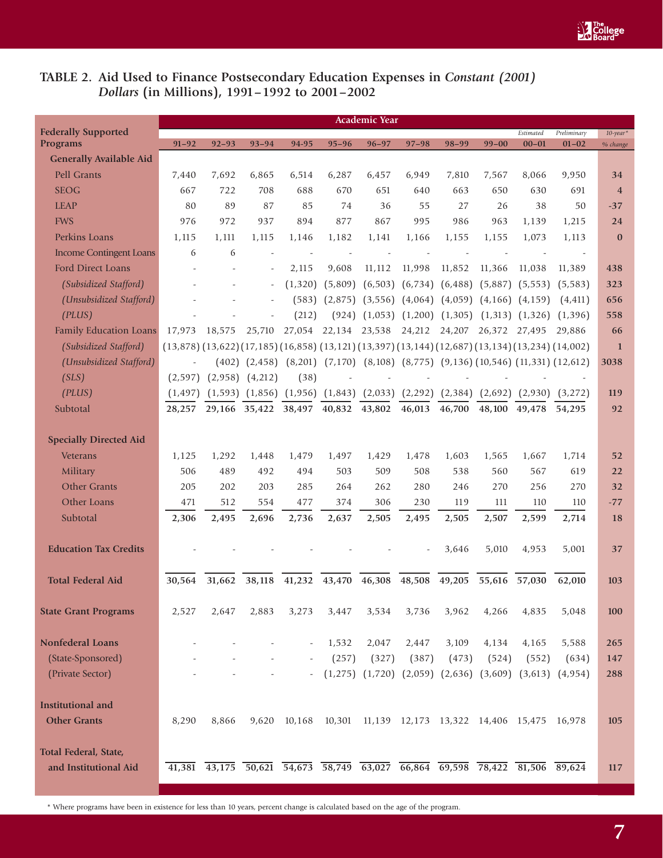# TABLE 2. Aid Used to Finance Postsecondary Education Expenses in *Constant (2001) Dollars* **(in Millions), 1991–1992 to 2001–2002**

|                                               |            |                                                                                                                          |                     |                          |           | <b>Academic Year</b> |                                                                                                      |           |               |           |                               |                      |
|-----------------------------------------------|------------|--------------------------------------------------------------------------------------------------------------------------|---------------------|--------------------------|-----------|----------------------|------------------------------------------------------------------------------------------------------|-----------|---------------|-----------|-------------------------------|----------------------|
| <b>Federally Supported</b>                    |            |                                                                                                                          |                     |                          |           |                      |                                                                                                      |           |               | Estimated | Preliminary                   | $10$ -year*          |
| <b>Programs</b>                               | $91 - 92$  | $92 - 93$                                                                                                                | $93 - 94$           | 94-95                    | $95 - 96$ | $96 - 97$            | $97 - 98$                                                                                            | $98 - 99$ | $99 - 00$     | $00 - 01$ | $01 - 02$                     | % change             |
| <b>Generally Available Aid</b><br>Pell Grants | 7,440      | 7,692                                                                                                                    | 6,865               | 6,514                    | 6,287     | 6,457                | 6,949                                                                                                | 7,810     | 7,567         | 8,066     | 9,950                         |                      |
| <b>SEOG</b>                                   | 667        | 722                                                                                                                      | 708                 | 688                      | 670       | 651                  | 640                                                                                                  | 663       | 650           | 630       | 691                           | 34<br>$\overline{4}$ |
| <b>LEAP</b>                                   | 80         | 89                                                                                                                       | 87                  | 85                       | 74        | 36                   | 55                                                                                                   | 27        | 26            | 38        | 50                            |                      |
| <b>FWS</b>                                    | 976        | 972                                                                                                                      | 937                 | 894                      | 877       | 867                  | 995                                                                                                  | 986       | 963           |           |                               | $-37$<br>24          |
| Perkins Loans                                 |            |                                                                                                                          |                     |                          | 1,182     |                      | 1,166                                                                                                |           |               | 1,139     | 1,215                         | $\bf{0}$             |
| <b>Income Contingent Loans</b>                | 1,115<br>6 | 1,111<br>6                                                                                                               | 1,115               | 1,146                    |           | 1,141                |                                                                                                      | 1,155     | 1,155         | 1,073     | 1,113                         |                      |
| Ford Direct Loans                             |            |                                                                                                                          |                     | 2,115                    | 9,608     | 11, 112              | 11,998                                                                                               | 11,852    | 11,366        | 11,038    |                               | 438                  |
|                                               |            |                                                                                                                          |                     |                          |           |                      |                                                                                                      |           |               |           | 11,389                        |                      |
| (Subsidized Stafford)                         |            |                                                                                                                          |                     | (1, 320)                 | (5,809)   |                      | $(6,503)$ $(6,734)$                                                                                  | (6, 488)  | (5,887)       | (5, 553)  | (5,583)                       | 323                  |
| (Unsubsidized Stafford)                       |            |                                                                                                                          |                     | (583)                    | (2,875)   |                      | $(3,556)$ $(4,064)$ $(4,059)$ $(4,166)$ $(4,159)$                                                    |           |               |           | (4, 411)                      | 656                  |
| (PLUS)                                        |            |                                                                                                                          |                     | (212)                    | (924)     |                      | $(1,053)$ $(1,200)$ $(1,305)$ $(1,313)$ $(1,326)$                                                    |           |               |           | (1,396)                       | 558                  |
| <b>Family Education Loans</b>                 | 17,973     | 18,575                                                                                                                   | 25,710              |                          |           |                      | 27,054 22,134 23,538 24,212 24,207                                                                   |           | 26,372 27,495 |           | 29,886                        | 66                   |
| (Subsidized Stafford)                         |            | $(13,878)$ $(13,622)$ $(17,185)$ $(16,858)$ $(13,121)$ $(13,397)$ $(13,144)$ $(12,687)$ $(13,134)$ $(13,234)$ $(14,002)$ |                     |                          |           |                      |                                                                                                      |           |               |           |                               | $\mathbf{1}$         |
| (Unsubsidized Stafford)                       |            |                                                                                                                          |                     |                          |           |                      | $(402)$ $(2,458)$ $(8,201)$ $(7,170)$ $(8,108)$ $(8,775)$ $(9,136)$ $(10,546)$ $(11,331)$ $(12,612)$ |           |               |           |                               | 3038                 |
| (SLS)                                         | (2,597)    |                                                                                                                          | $(2,958)$ $(4,212)$ | (38)                     |           |                      |                                                                                                      |           |               |           |                               |                      |
| (PLUS)                                        | (1, 497)   |                                                                                                                          |                     |                          |           |                      | $(1,593)$ $(1,856)$ $(1,956)$ $(1,843)$ $(2,033)$ $(2,292)$ $(2,384)$                                |           |               |           | $(2,692)$ $(2,930)$ $(3,272)$ | 119                  |
| Subtotal                                      | 28,257     | 29,166                                                                                                                   | 35,422              | 38,497                   | 40,832    | 43,802               | 46,013                                                                                               | 46,700    | 48,100        | 49,478    | 54,295                        | 92                   |
|                                               |            |                                                                                                                          |                     |                          |           |                      |                                                                                                      |           |               |           |                               |                      |
| <b>Specially Directed Aid</b>                 |            |                                                                                                                          |                     |                          |           |                      |                                                                                                      |           |               |           |                               |                      |
| <b>Veterans</b>                               | 1,125      | 1,292                                                                                                                    | 1,448               | 1,479                    | 1,497     | 1,429                | 1,478                                                                                                | 1,603     | 1,565         | 1,667     | 1,714                         | 52                   |
| Military                                      | 506        | 489                                                                                                                      | 492                 | 494                      | 503       | 509                  | 508                                                                                                  | 538       | 560           | 567       | 619                           | 22                   |
| <b>Other Grants</b>                           | 205        | 202                                                                                                                      | 203                 | 285                      | 264       | 262                  | 280                                                                                                  | 246       | 270           | 256       | 270                           | 32                   |
| Other Loans                                   | 471        | 512                                                                                                                      | 554                 | 477                      | 374       | 306                  | 230                                                                                                  | 119       | 111           | 110       | 110                           | $-77$                |
| Subtotal                                      | 2,306      | 2,495                                                                                                                    | 2,696               | 2,736                    | 2,637     | 2,505                | 2,495                                                                                                | 2,505     | 2,507         | 2,599     | 2,714                         | 18                   |
|                                               |            |                                                                                                                          |                     |                          |           |                      |                                                                                                      |           |               |           |                               |                      |
| <b>Education Tax Credits</b>                  |            |                                                                                                                          |                     |                          |           |                      |                                                                                                      | 3,646     | 5,010         | 4,953     | 5,001                         | 37                   |
|                                               |            |                                                                                                                          |                     |                          |           |                      |                                                                                                      |           |               |           |                               |                      |
| <b>Total Federal Aid</b>                      | 30.564     | 31,662                                                                                                                   | 38,118              | 41,232 43,470            |           | 46,308               | 48,508                                                                                               | 49,205    | 55,616        | 57,030    | 62,010                        | 103                  |
|                                               |            |                                                                                                                          |                     |                          |           |                      |                                                                                                      |           |               |           |                               |                      |
| <b>State Grant Programs</b>                   | 2,527      | 2,647                                                                                                                    | 2,883               | 3,273                    | 3,447     | 3,534                | 3,736                                                                                                | 3,962     | 4,266         | 4,835     | 5,048                         | 100                  |
|                                               |            |                                                                                                                          |                     |                          |           |                      |                                                                                                      |           |               |           |                               |                      |
| <b>Nonfederal Loans</b>                       |            |                                                                                                                          |                     | $\overline{\phantom{a}}$ | 1,532     | 2,047                | 2,447                                                                                                | 3,109     | 4,134         | 4,165     | 5,588                         | 265                  |
| (State-Sponsored)                             |            |                                                                                                                          |                     |                          | (257)     | (327)                | (387)                                                                                                | (473)     | (524)         | (552)     | (634)                         | 147                  |
| (Private Sector)                              |            |                                                                                                                          |                     |                          |           |                      | $(1,275)$ $(1,720)$ $(2,059)$ $(2,636)$ $(3,609)$ $(3,613)$ $(4,954)$                                |           |               |           |                               | 288                  |
|                                               |            |                                                                                                                          |                     |                          |           |                      |                                                                                                      |           |               |           |                               |                      |
| <b>Institutional</b> and                      |            |                                                                                                                          |                     |                          |           |                      |                                                                                                      |           |               |           |                               |                      |
| <b>Other Grants</b>                           | 8,290      | 8,866                                                                                                                    | 9,620               | 10,168                   | 10,301    |                      | 11,139 12,173 13,322 14,406 15,475 16,978                                                            |           |               |           |                               | 105                  |
|                                               |            |                                                                                                                          |                     |                          |           |                      |                                                                                                      |           |               |           |                               |                      |
| Total Federal, State,                         |            |                                                                                                                          |                     |                          |           |                      |                                                                                                      |           |               |           |                               |                      |
| and Institutional Aid                         |            | 41,381 43,175 50,621 54,673 58,749 63,027 66,864 69,598 78,422 81,506 89,624                                             |                     |                          |           |                      |                                                                                                      |           |               |           |                               | 117                  |

\* Where programs have been in existence for less than 10 years, percent change is calculated based on the age of the program.

**7**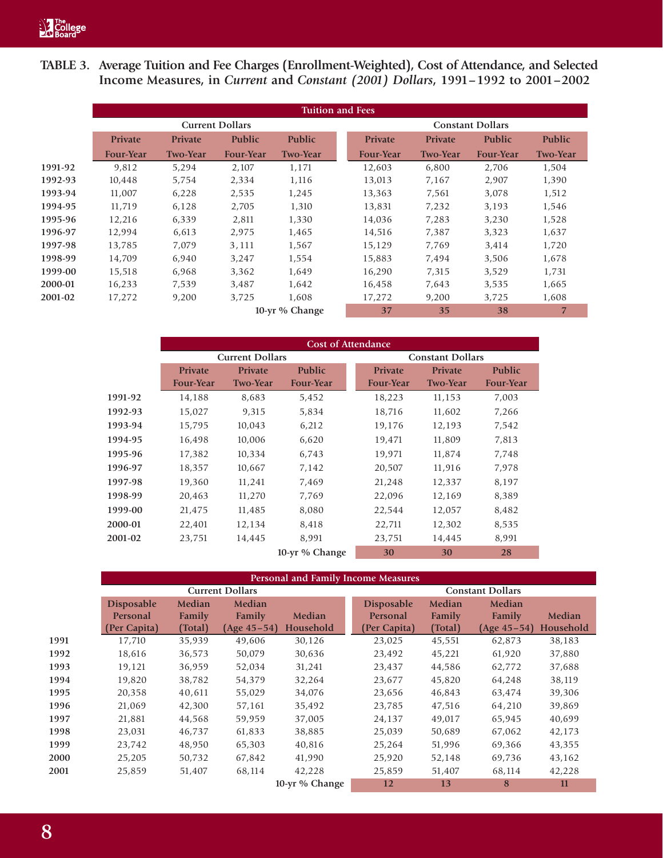**TABLE 3. Average Tuition and Fee Charges (Enrollment-Weighted), Cost of Attendance, and Selected Income Measures, in** *Current* **and** *Constant (2001) Dollars***, 1991–1992 to 2001–2002**

|         |                  |                 |                        |                 | <b>Tuition and Fees</b> |                  |                 |                         |                 |  |  |  |
|---------|------------------|-----------------|------------------------|-----------------|-------------------------|------------------|-----------------|-------------------------|-----------------|--|--|--|
|         |                  |                 | <b>Current Dollars</b> |                 |                         |                  |                 | <b>Constant Dollars</b> |                 |  |  |  |
|         | Private          | <b>Private</b>  | <b>Public</b>          | <b>Public</b>   |                         | <b>Private</b>   | <b>Private</b>  | <b>Public</b>           | <b>Public</b>   |  |  |  |
|         | <b>Four-Year</b> | <b>Two-Year</b> | <b>Four-Year</b>       | <b>Two-Year</b> |                         | <b>Four-Year</b> | <b>Two-Year</b> | <b>Four-Year</b>        | <b>Two-Year</b> |  |  |  |
| 1991-92 | 9,812            | 5,294           | 2,107                  | 1,171           |                         | 12,603           | 6,800           | 2,706                   | 1,504           |  |  |  |
| 1992-93 | 10,448           | 5,754           | 2,334                  | 1,116           |                         | 13,013           | 7,167           | 2,907                   | 1,390           |  |  |  |
| 1993-94 | 11,007           | 6,228           | 2,535                  | 1,245           |                         | 13,363           | 7,561           | 3,078                   | 1,512           |  |  |  |
| 1994-95 | 11,719           | 6,128           | 2,705                  | 1,310           |                         | 13,831           | 7,232           | 3,193                   | 1,546           |  |  |  |
| 1995-96 | 12,216           | 6,339           | 2,811                  | 1,330           |                         | 14,036           | 7,283           | 3,230                   | 1,528           |  |  |  |
| 1996-97 | 12,994           | 6,613           | 2,975                  | 1,465           |                         | 14,516           | 7,387           | 3,323                   | 1,637           |  |  |  |
| 1997-98 | 13,785           | 7,079           | 3,111                  | 1,567           |                         | 15,129           | 7,769           | 3,414                   | 1,720           |  |  |  |
| 1998-99 | 14,709           | 6,940           | 3,247                  | 1,554           |                         | 15,883           | 7,494           | 3,506                   | 1,678           |  |  |  |
| 1999-00 | 15,518           | 6,968           | 3,362                  | 1,649           |                         | 16,290           | 7,315           | 3,529                   | 1,731           |  |  |  |
| 2000-01 | 16,233           | 7.539           | 3,487                  | 1,642           |                         | 16,458           | 7,643           | 3,535                   | 1,665           |  |  |  |
| 2001-02 | 17,272           | 9,200           | 3,725                  | 1,608           |                         | 17,272           | 9,200           | 3,725                   | 1,608           |  |  |  |
|         |                  |                 |                        | 10-yr % Change  |                         | 37               | 35              | 38                      | $\overline{7}$  |  |  |  |

|         |                  |                        |                  | <b>Cost of Attendance</b> |                         |                  |  |  |  |  |
|---------|------------------|------------------------|------------------|---------------------------|-------------------------|------------------|--|--|--|--|
|         |                  | <b>Current Dollars</b> |                  |                           | <b>Constant Dollars</b> |                  |  |  |  |  |
|         | <b>Private</b>   | <b>Private</b>         | <b>Public</b>    | <b>Private</b>            | <b>Private</b>          | <b>Public</b>    |  |  |  |  |
|         | <b>Four-Year</b> | <b>Two-Year</b>        | <b>Four-Year</b> | <b>Four-Year</b>          | <b>Two-Year</b>         | <b>Four-Year</b> |  |  |  |  |
| 1991-92 | 14,188           | 8,683                  | 5,452            | 18,223                    | 11,153                  | 7,003            |  |  |  |  |
| 1992-93 | 15,027           | 9,315                  | 5,834            | 18,716                    | 11,602                  | 7,266            |  |  |  |  |
| 1993-94 | 15,795           | 10,043                 | 6,212            | 19,176                    | 12,193                  | 7,542            |  |  |  |  |
| 1994-95 | 16,498           | 10,006                 | 6,620            | 19,471                    | 11,809                  | 7,813            |  |  |  |  |
| 1995-96 | 17,382           | 10,334                 | 6,743            | 19,971                    | 11,874                  | 7,748            |  |  |  |  |
| 1996-97 | 18,357           | 10,667                 | 7,142            | 20,507                    | 11,916                  | 7,978            |  |  |  |  |
| 1997-98 | 19,360           | 11,241                 | 7,469            | 21,248                    | 12,337                  | 8,197            |  |  |  |  |
| 1998-99 | 20,463           | 11,270                 | 7,769            | 22,096                    | 12,169                  | 8,389            |  |  |  |  |
| 1999-00 | 21,475           | 11,485                 | 8,080            | 22,544                    | 12,057                  | 8,482            |  |  |  |  |
| 2000-01 | 22,401           | 12,134                 | 8,418            | 22,711                    | 12,302                  | 8,535            |  |  |  |  |
| 2001-02 | 23,751           | 14,445                 | 8,991            | 23,751                    | 14,445                  | 8,991            |  |  |  |  |
|         |                  |                        | 10-yr % Change   | 30                        | 30                      | 28               |  |  |  |  |

|      |                   | <b>Personal and Family Income Measures</b> |                        |                |                   |         |                         |           |  |  |  |  |  |  |
|------|-------------------|--------------------------------------------|------------------------|----------------|-------------------|---------|-------------------------|-----------|--|--|--|--|--|--|
|      |                   |                                            | <b>Current Dollars</b> |                |                   |         | <b>Constant Dollars</b> |           |  |  |  |  |  |  |
|      | <b>Disposable</b> | Median                                     | Median                 |                | <b>Disposable</b> | Median  | Median                  |           |  |  |  |  |  |  |
|      | Personal          | Family                                     | Family                 | Median         | Personal          | Family  | Family                  | Median    |  |  |  |  |  |  |
|      | (Per Capita)      | (Total)                                    | $(Age 45 - 54)$        | Household      | (Per Capita)      | (Total) | $(Age 45 - 54)$         | Household |  |  |  |  |  |  |
| 1991 | 17,710            | 35,939                                     | 49,606                 | 30,126         | 23,025            | 45,551  | 62,873                  | 38,183    |  |  |  |  |  |  |
| 1992 | 18,616            | 36,573                                     | 50,079                 | 30,636         | 23,492            | 45,221  | 61,920                  | 37,880    |  |  |  |  |  |  |
| 1993 | 19,121            | 36,959                                     | 52,034                 | 31,241         | 23,437            | 44,586  | 62,772                  | 37,688    |  |  |  |  |  |  |
| 1994 | 19,820            | 38,782                                     | 54,379                 | 32,264         | 23,677            | 45,820  | 64,248                  | 38,119    |  |  |  |  |  |  |
| 1995 | 20,358            | 40,611                                     | 55,029                 | 34,076         | 23,656            | 46,843  | 63,474                  | 39,306    |  |  |  |  |  |  |
| 1996 | 21,069            | 42,300                                     | 57,161                 | 35,492         | 23,785            | 47,516  | 64,210                  | 39,869    |  |  |  |  |  |  |
| 1997 | 21,881            | 44,568                                     | 59,959                 | 37,005         | 24,137            | 49,017  | 65,945                  | 40,699    |  |  |  |  |  |  |
| 1998 | 23,031            | 46,737                                     | 61,833                 | 38,885         | 25,039            | 50,689  | 67,062                  | 42,173    |  |  |  |  |  |  |
| 1999 | 23,742            | 48,950                                     | 65,303                 | 40,816         | 25,264            | 51,996  | 69,366                  | 43,355    |  |  |  |  |  |  |
| 2000 | 25,205            | 50,732                                     | 67,842                 | 41,990         | 25,920            | 52,148  | 69,736                  | 43,162    |  |  |  |  |  |  |
| 2001 | 25,859            | 51,407                                     | 68,114                 | 42,228         | 25,859            | 51,407  | 68,114                  | 42,228    |  |  |  |  |  |  |
|      |                   |                                            |                        | 10-yr % Change | 12                | 13      | 8                       | 11        |  |  |  |  |  |  |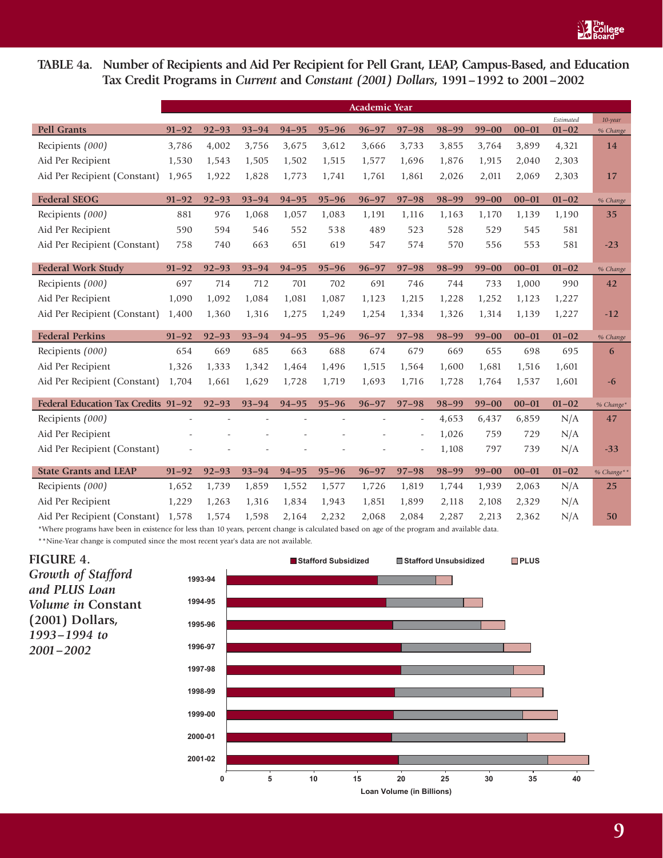

# **TABLE 4a. Number of Recipients and Aid Per Recipient for Pell Grant, LEAP, Campus-Based, and Education Tax Credit Programs in** *Current* **and** *Constant (2001) Dollars***, 1991–1992 to 2001–2002**

|                                     | <b>Academic Year</b> |           |           |           |           |           |                          |           |           |           |                        |                        |
|-------------------------------------|----------------------|-----------|-----------|-----------|-----------|-----------|--------------------------|-----------|-----------|-----------|------------------------|------------------------|
| <b>Pell Grants</b>                  | $91 - 92$            | $92 - 93$ | $93 - 94$ | $94 - 95$ | $95 - 96$ | $96 - 97$ | $97 - 98$                | $98 - 99$ | $99 - 00$ | $00 - 01$ | Estimated<br>$01 - 02$ | $10$ -year<br>% Change |
| Recipients (000)                    | 3,786                | 4,002     | 3,756     | 3,675     | 3,612     | 3,666     | 3,733                    | 3,855     | 3,764     | 3,899     | 4,321                  | 14                     |
| Aid Per Recipient                   | 1,530                | 1,543     | 1,505     | 1,502     | 1,515     | 1,577     | 1,696                    | 1,876     | 1,915     | 2,040     | 2,303                  |                        |
| Aid Per Recipient (Constant)        | 1,965                | 1,922     | 1,828     | 1,773     | 1,741     | 1,761     | 1,861                    | 2,026     | 2,011     | 2,069     | 2,303                  | 17                     |
|                                     |                      |           |           |           |           |           |                          |           |           |           |                        |                        |
| <b>Federal SEOG</b>                 | $91 - 92$            | $92 - 93$ | $93 - 94$ | $94 - 95$ | $95 - 96$ | $96 - 97$ | $97 - 98$                | $98 - 99$ | $99 - 00$ | $00 - 01$ | $01 - 02$              | % Change               |
| Recipients (000)                    | 881                  | 976       | 1,068     | 1,057     | 1,083     | 1,191     | 1,116                    | 1,163     | 1,170     | 1,139     | 1,190                  | 35                     |
| Aid Per Recipient                   | 590                  | 594       | 546       | 552       | 538       | 489       | 523                      | 528       | 529       | 545       | 581                    |                        |
| Aid Per Recipient (Constant)        | 758                  | 740       | 663       | 651       | 619       | 547       | 574                      | 570       | 556       | 553       | 581                    | $-23$                  |
|                                     |                      |           |           |           |           |           |                          |           |           |           |                        |                        |
| <b>Federal Work Study</b>           | $91 - 92$            | $92 - 93$ | $93 - 94$ | $94 - 95$ | $95 - 96$ | $96 - 97$ | $97 - 98$                | $98 - 99$ | $99 - 00$ | $00 - 01$ | $01 - 02$              | % Change               |
| Recipients (000)                    | 697                  | 714       | 712       | 701       | 702       | 691       | 746                      | 744       | 733       | 1,000     | 990                    | 42                     |
| Aid Per Recipient                   | 1,090                | 1,092     | 1,084     | 1,081     | 1,087     | 1,123     | 1,215                    | 1,228     | 1,252     | 1,123     | 1,227                  |                        |
| Aid Per Recipient (Constant)        | 1,400                | 1,360     | 1,316     | 1,275     | 1,249     | 1,254     | 1,334                    | 1,326     | 1,314     | 1,139     | 1,227                  | $-12$                  |
| <b>Federal Perkins</b>              | $91 - 92$            | $92 - 93$ | $93 - 94$ | $94 - 95$ | $95 - 96$ | $96 - 97$ | $97 - 98$                | $98 - 99$ | $99 - 00$ | $00 - 01$ | $01 - 02$              | % Change               |
| Recipients (000)                    | 654                  | 669       | 685       | 663       | 688       | 674       | 679                      | 669       | 655       | 698       | 695                    | 6                      |
| Aid Per Recipient                   | 1,326                | 1,333     | 1,342     | 1,464     | 1,496     | 1,515     | 1,564                    | 1,600     | 1,681     | 1,516     | 1,601                  |                        |
| Aid Per Recipient (Constant)        | 1,704                | 1,661     | 1,629     | 1,728     | 1,719     | 1,693     | 1,716                    | 1,728     | 1,764     | 1,537     | 1,601                  | $-6$                   |
| Federal Education Tax Credits 91-92 |                      | $92 - 93$ | $93 - 94$ | $94 - 95$ | $95 - 96$ | $96 - 97$ | $97 - 98$                | 98-99     | $99 - 00$ | $00 - 01$ | $01 - 02$              | % Change*              |
| Recipients (000)                    |                      |           |           |           |           |           | $\overline{\phantom{a}}$ | 4,653     | 6,437     | 6,859     | N/A                    | 47                     |
| Aid Per Recipient                   |                      |           |           |           |           |           | $\overline{\phantom{a}}$ | 1,026     | 759       | 729       | N/A                    |                        |
| Aid Per Recipient (Constant)        |                      |           |           |           |           |           | $\overline{a}$           | 1,108     | 797       | 739       | N/A                    | $-33$                  |
|                                     |                      |           |           |           |           |           |                          |           |           |           |                        |                        |
| <b>State Grants and LEAP</b>        | $91 - 92$            | $92 - 93$ | $93 - 94$ | $94 - 95$ | $95 - 96$ | $96 - 97$ | $97 - 98$                | $98 - 99$ | $99 - 00$ | $00 - 01$ | $01 - 02$              | % Change**             |
| Recipients (000)                    | 1,652                | 1,739     | 1,859     | 1,552     | 1,577     | 1,726     | 1,819                    | 1,744     | 1,939     | 2,063     | N/A                    | 25                     |
| Aid Per Recipient                   | 1,229                | 1,263     | 1,316     | 1,834     | 1,943     | 1,851     | 1,899                    | 2,118     | 2,108     | 2,329     | N/A                    |                        |
| Aid Per Recipient (Constant)        | 1,578                | 1,574     | 1,598     | 2,164     | 2,232     | 2,068     | 2,084                    | 2,287     | 2,213     | 2,362     | N/A                    | 50                     |

\*Where programs have been in existence for less than 10 years, percent change is calculated based on age of the program and available data. \*\*Nine-Year change is computed since the most recent year's data are not available.

**FIGURE 4.** *Growth of Stafford and PLUS Loan Volume in* **Constant (2001) Dollars***, 1993–1994 to 2001–2002*

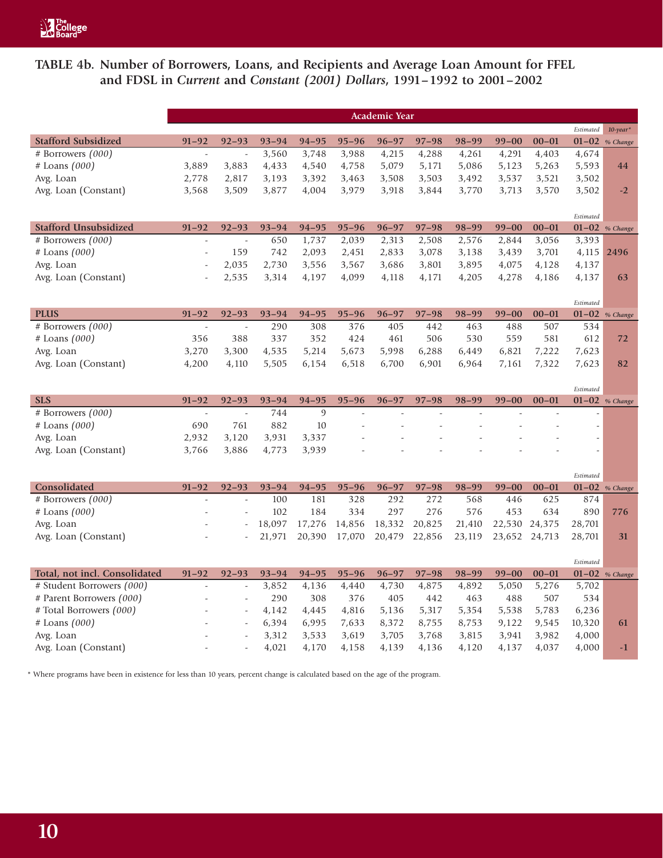# **TABLE 4b. Number of Borrowers, Loans, and Recipients and Average Loan Amount for FFEL and FDSL in** *Current* **and** *Constant (2001) Dollars***, 1991–1992 to 2001–2002**

|                               |                          |                          |           |                |           | Academic Year |           |           |               |           |                               |                    |
|-------------------------------|--------------------------|--------------------------|-----------|----------------|-----------|---------------|-----------|-----------|---------------|-----------|-------------------------------|--------------------|
|                               |                          |                          |           |                |           |               |           |           |               |           | Estimated                     | $10$ -year*        |
| <b>Stafford Subsidized</b>    | $91 - 92$                | $92 - 93$                | $93 - 94$ | $94 - 95$      | $95 - 96$ | $96 - 97$     | $97 - 98$ | $98 - 99$ | $99 - 00$     | $00 - 01$ |                               | $01 - 02$ % Change |
| # Borrowers $(000)$           | $\mathcal{L}$            | $\overline{a}$           | 3,560     | 3,748          | 3,988     | 4,215         | 4,288     | 4,261     | 4,291         | 4,403     | 4,674                         |                    |
| $#$ Loans $(000)$             | 3,889                    | 3,883                    | 4,433     | 4,540          | 4,758     | 5,079         | 5,171     | 5,086     | 5,123         | 5,263     | 5,593                         | 44                 |
| Avg. Loan                     | 2,778                    | 2,817                    | 3,193     | 3,392          | 3,463     | 3,508         | 3,503     | 3,492     | 3,537         | 3,521     | 3,502                         |                    |
| Avg. Loan (Constant)          | 3,568                    | 3,509                    | 3,877     | 4,004          | 3,979     | 3,918         | 3,844     | 3,770     | 3,713         | 3,570     | 3,502                         | $-2$               |
|                               |                          |                          |           |                |           |               |           |           |               |           |                               |                    |
|                               |                          |                          |           |                |           |               |           |           |               |           | Estimated                     |                    |
| <b>Stafford Unsubsidized</b>  | $91 - 92$                | $92 - 93$                | $93 - 94$ | $94 - 95$      | $95 - 96$ | $96 - 97$     | $97 - 98$ | $98 - 99$ | $99 - 00$     | $00 - 01$ |                               | $01-02$ % Change   |
| # Borrowers (000)             | $\overline{\phantom{a}}$ | $\sim$                   | 650       | 1,737          | 2,039     | 2,313         | 2,508     | 2,576     | 2,844         | 3,056     | 3,393                         |                    |
| $#$ Loans $(000)$             | $\sim$                   | 159                      | 742       | 2,093          | 2,451     | 2,833         | 3,078     | 3,138     | 3,439         | 3,701     | 4,115                         | 2496               |
| Avg. Loan                     | $\overline{a}$           | 2,035                    | 2,730     | 3,556          | 3,567     | 3,686         | 3,801     | 3,895     | 4,075         | 4,128     | 4,137                         |                    |
| Avg. Loan (Constant)          |                          | 2,535                    | 3,314     | 4,197          | 4,099     | 4,118         | 4,171     | 4,205     | 4,278         | 4,186     | 4,137                         | 63                 |
|                               |                          |                          |           |                |           |               |           |           |               |           |                               |                    |
|                               |                          |                          |           |                |           |               |           |           |               |           | Estimated                     |                    |
| <b>PLUS</b>                   | $91 - 92$                | $92 - 93$                | $93 - 94$ | $94 - 95$      | $95 - 96$ | $96 - 97$     | $97 - 98$ | $98 - 99$ | $99 - 00$     | $00 - 01$ |                               | $01-02$ % Change   |
| # Borrowers (000)             | $\bar{\phantom{a}}$      | $\overline{\phantom{a}}$ | 290       | 308            | 376       | 405           | 442       | 463       | 488           | 507       | 534                           |                    |
| $#$ Loans $(000)$             | 356                      | 388                      | 337       | 352            | 424       | 461           | 506       | 530       | 559           | 581       | 612                           | 72                 |
| Avg. Loan                     | 3,270                    | 3,300                    | 4,535     | 5,214          | 5,673     | 5,998         | 6,288     | 6,449     | 6,821         | 7,222     | 7,623                         |                    |
| Avg. Loan (Constant)          | 4,200                    | 4,110                    | 5,505     | 6,154          | 6,518     | 6,700         | 6,901     | 6,964     | 7,161         | 7,322     | 7,623                         | 82                 |
|                               |                          |                          |           |                |           |               |           |           |               |           |                               |                    |
| <b>SLS</b>                    | $91 - 92$                | $92 - 93$                | $93 - 94$ | $94 - 95$      | $95 - 96$ | $96 - 97$     | $97 - 98$ | $98 - 99$ | $99 - 00$     | $00 - 01$ | Estimated<br>$01-02$ % Change |                    |
| # Borrowers (000)             | $\sim$                   | $\sim$                   | 744       | $\mathfrak{g}$ |           |               |           |           |               |           |                               |                    |
| $#$ Loans $(000)$             | 690                      | 761                      | 882       | 10             |           |               |           |           |               |           | $\overline{\phantom{a}}$      |                    |
| Avg. Loan                     | 2,932                    | 3,120                    | 3,931     | 3,337          |           |               |           |           |               |           |                               |                    |
| Avg. Loan (Constant)          | 3,766                    | 3,886                    | 4,773     | 3,939          |           |               |           |           |               |           | $\overline{\phantom{a}}$      |                    |
|                               |                          |                          |           |                |           |               |           |           |               |           |                               |                    |
|                               |                          |                          |           |                |           |               |           |           |               |           | Estimated                     |                    |
| Consolidated                  | $91 - 92$                | $92 - 93$                | $93 - 94$ | $94 - 95$      | $95 - 96$ | $96 - 97$     | $97 - 98$ | $98 - 99$ | $99 - 00$     | $00 - 01$ |                               | $01-02$ % Change   |
| # Borrowers $(000)$           | $\overline{a}$           | $\sim$                   | 100       | 181            | 328       | 292           | 272       | 568       | 446           | 625       | 874                           |                    |
| $#$ Loans $(000)$             |                          | $\sim$                   | 102       | 184            | 334       | 297           | 276       | 576       | 453           | 634       | 890                           | 776                |
| Avg. Loan                     |                          |                          | 18,097    | 17,276         | 14,856    | 18,332        | 20,825    | 21,410    | 22,530 24,375 |           | 28,701                        |                    |
| Avg. Loan (Constant)          |                          |                          | 21,971    | 20,390         | 17,070    | 20,479        | 22,856    | 23,119    | 23,652        | 24,713    | 28,701                        | 31                 |
|                               |                          |                          |           |                |           |               |           |           |               |           |                               |                    |
|                               |                          |                          |           |                |           |               |           |           |               |           |                               |                    |
|                               |                          |                          |           |                |           |               |           |           |               |           | Estimated                     |                    |
| Total, not incl. Consolidated | $91 - 92$                | $92 - 93$                | $93 - 94$ | $94 - 95$      | $95 - 96$ | $96 - 97$     | $97 - 98$ | $98 - 99$ | $99 - 00$     | $00 - 01$ |                               | $01-02$ % Change   |
| # Student Borrowers (000)     | $\overline{\phantom{a}}$ | $\overline{\phantom{a}}$ | 3,852     | 4,136          | 4,440     | 4,730         | 4,875     | 4,892     | 5,050         | 5,276     | 5,702                         |                    |
| # Parent Borrowers (000)      |                          | ÷,                       | 290       | 308            | 376       | 405           | 442       | 463       | 488           | 507       | 534                           |                    |
| # Total Borrowers (000)       |                          | $\sim$                   | 4,142     | 4,445          | 4,816     | 5,136         | 5,317     | 5,354     | 5,538         | 5,783     | 6,236                         |                    |
| $#$ Loans $(000)$             |                          | $\sim$                   | 6,394     | 6,995          | 7,633     | 8,372         | 8,755     | 8,753     | 9,122         | 9,545     | 10,320                        | 61                 |
| Avg. Loan                     |                          | $\sim$                   | 3,312     | 3,533          | 3,619     | 3,705         | 3,768     | 3,815     | 3,941         | 3,982     | 4,000                         |                    |
| Avg. Loan (Constant)          |                          |                          | 4,021     | 4,170          | 4,158     | 4,139         | 4,136     | 4,120     | 4,137         | 4,037     | 4,000                         | $-1$               |

\* Where programs have been in existence for less than 10 years, percent change is calculated based on the age of the program.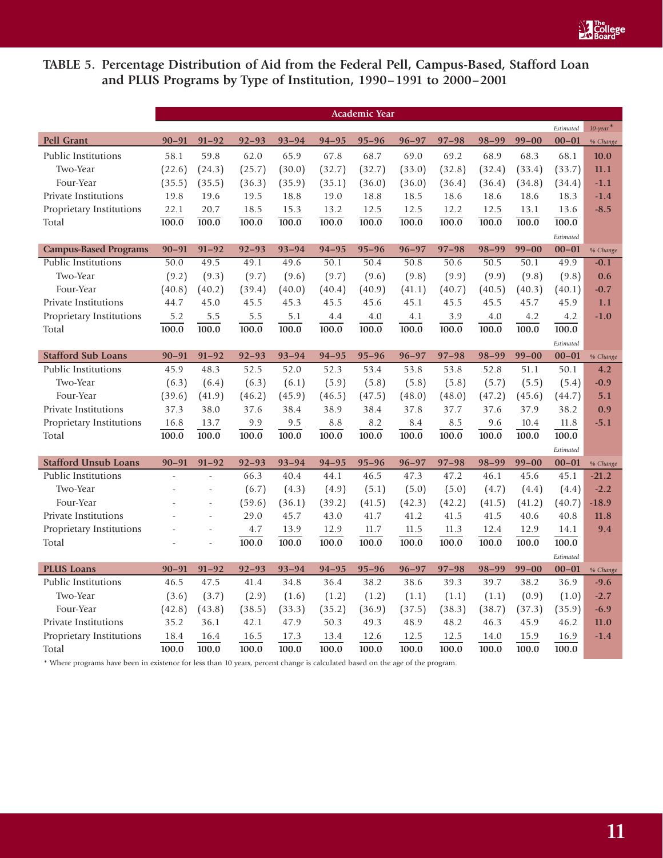

# **TABLE 5. Percentage Distribution of Aid from the Federal Pell, Campus-Based, Stafford Loan and PLUS Programs by Type of Institution, 1990–1991 to 2000–2001**

|                              |           |                |           |           |           | Academic Year |           |           |           |           |           |                         |
|------------------------------|-----------|----------------|-----------|-----------|-----------|---------------|-----------|-----------|-----------|-----------|-----------|-------------------------|
|                              |           |                |           |           |           |               |           |           |           |           | Estimated | $10$ -year <sup>*</sup> |
| <b>Pell Grant</b>            | $90 - 91$ | $91 - 92$      | $92 - 93$ | $93 - 94$ | $94 - 95$ | $95 - 96$     | $96 - 97$ | $97 - 98$ | $98 - 99$ | $99 - 00$ | $00 - 01$ | % Change                |
| Public Institutions          | 58.1      | 59.8           | 62.0      | 65.9      | 67.8      | 68.7          | 69.0      | 69.2      | 68.9      | 68.3      | 68.1      | 10.0                    |
| Two-Year                     | (22.6)    | (24.3)         | (25.7)    | (30.0)    | (32.7)    | (32.7)        | (33.0)    | (32.8)    | (32.4)    | (33.4)    | (33.7)    | 11.1                    |
| Four-Year                    | (35.5)    | (35.5)         | (36.3)    | (35.9)    | (35.1)    | (36.0)        | (36.0)    | (36.4)    | (36.4)    | (34.8)    | (34.4)    | $-1.1$                  |
| <b>Private Institutions</b>  | 19.8      | 19.6           | 19.5      | 18.8      | 19.0      | 18.8          | 18.5      | 18.6      | 18.6      | 18.6      | 18.3      | $-1.4$                  |
| Proprietary Institutions     | 22.1      | 20.7           | 18.5      | 15.3      | 13.2      | 12.5          | 12.5      | 12.2      | 12.5      | 13.1      | 13.6      | $-8.5$                  |
| Total                        | 100.0     | 100.0          | 100.0     | 100.0     | 100.0     | 100.0         | 100.0     | 100.0     | 100.0     | 100.0     | 100.0     |                         |
|                              |           |                |           |           |           |               |           |           |           |           | Estimated |                         |
| <b>Campus-Based Programs</b> | $90 - 91$ | $91 - 92$      | $92 - 93$ | $93 - 94$ | $94 - 95$ | $95 - 96$     | $96 - 97$ | $97 - 98$ | $98 - 99$ | $99 - 00$ | $00 - 01$ | % Change                |
| <b>Public Institutions</b>   | 50.0      | 49.5           | 49.1      | 49.6      | 50.1      | 50.4          | 50.8      | 50.6      | 50.5      | 50.1      | 49.9      | $-0.1$                  |
| Two-Year                     | (9.2)     | (9.3)          | (9.7)     | (9.6)     | (9.7)     | (9.6)         | (9.8)     | (9.9)     | (9.9)     | (9.8)     | (9.8)     | 0.6                     |
| Four-Year                    | (40.8)    | (40.2)         | (39.4)    | (40.0)    | (40.4)    | (40.9)        | (41.1)    | (40.7)    | (40.5)    | (40.3)    | (40.1)    | $-0.7$                  |
| Private Institutions         | 44.7      | 45.0           | 45.5      | 45.3      | 45.5      | 45.6          | 45.1      | 45.5      | 45.5      | 45.7      | 45.9      | 1.1                     |
| Proprietary Institutions     | 5.2       | 5.5            | 5.5       | 5.1       | 4.4       | 4.0           | 4.1       | 3.9       | 4.0       | 4.2       | 4.2       | $-1.0$                  |
| Total                        | 100.0     | 100.0          | 100.0     | 100.0     | 100.0     | 100.0         | 100.0     | 100.0     | 100.0     | 100.0     | 100.0     |                         |
|                              |           |                |           |           |           |               |           |           |           |           | Estimated |                         |
| <b>Stafford Sub Loans</b>    | $90 - 91$ | $91 - 92$      | $92 - 93$ | $93 - 94$ | $94 - 95$ | $95 - 96$     | $96 - 97$ | $97 - 98$ | $98 - 99$ | $99 - 00$ | $00 - 01$ | % Change                |
| <b>Public Institutions</b>   | 45.9      | 48.3           | 52.5      | 52.0      | 52.3      | 53.4          | 53.8      | 53.8      | 52.8      | 51.1      | 50.1      | 4.2                     |
| Two-Year                     | (6.3)     | (6.4)          | (6.3)     | (6.1)     | (5.9)     | (5.8)         | (5.8)     | (5.8)     | (5.7)     | (5.5)     | (5.4)     | $-0.9$                  |
| Four-Year                    | (39.6)    | (41.9)         | (46.2)    | (45.9)    | (46.5)    | (47.5)        | (48.0)    | (48.0)    | (47.2)    | (45.6)    | (44.7)    | 5.1                     |
| Private Institutions         | 37.3      | 38.0           | 37.6      | 38.4      | 38.9      | 38.4          | 37.8      | 37.7      | 37.6      | 37.9      | 38.2      | 0.9                     |
| Proprietary Institutions     | 16.8      | 13.7           | 9.9       | 9.5       | 8.8       | 8.2           | 8.4       | 8.5       | 9.6       | 10.4      | 11.8      | $-5.1$                  |
| Total                        | 100.0     | 100.0          | 100.0     | 100.0     | 100.0     | 100.0         | 100.0     | 100.0     | 100.0     | 100.0     | 100.0     |                         |
|                              |           |                |           |           |           |               |           |           |           |           | Estimated |                         |
| <b>Stafford Unsub Loans</b>  | $90 - 91$ | $91 - 92$      | $92 - 93$ | $93 - 94$ | $94 - 95$ | $95 - 96$     | $96 - 97$ | $97 - 98$ | $98 - 99$ | $99 - 00$ | $00 - 01$ | % Change                |
| <b>Public Institutions</b>   |           | $\overline{a}$ | 66.3      | 40.4      | 44.1      | 46.5          | 47.3      | 47.2      | 46.1      | 45.6      | 45.1      | $-21.2$                 |
| Two-Year                     | ÷,        | $\frac{1}{2}$  | (6.7)     | (4.3)     | (4.9)     | (5.1)         | (5.0)     | (5.0)     | (4.7)     | (4.4)     | (4.4)     | $-2.2$                  |
| Four-Year                    |           | ÷,             | (59.6)    | (36.1)    | (39.2)    | (41.5)        | (42.3)    | (42.2)    | (41.5)    | (41.2)    | (40.7)    | $-18.9$                 |
| <b>Private Institutions</b>  |           |                | 29.0      | 45.7      | 43.0      | 41.7          | 41.2      | 41.5      | 41.5      | 40.6      | 40.8      | 11.8                    |
| Proprietary Institutions     |           | ÷,             | 4.7       | 13.9      | 12.9      | 11.7          | 11.5      | 11.3      | 12.4      | 12.9      | 14.1      | 9.4                     |
| Total                        | L,        | $\overline{a}$ | 100.0     | 100.0     | 100.0     | 100.0         | 100.0     | 100.0     | 100.0     | 100.0     | 100.0     |                         |
|                              |           |                |           |           |           |               |           |           |           |           | Estimated |                         |
| <b>PLUS Loans</b>            | $90 - 91$ | $91 - 92$      | $92 - 93$ | $93 - 94$ | $94 - 95$ | $95 - 96$     | $96 - 97$ | $97 - 98$ | $98 - 99$ | $99 - 00$ | $00 - 01$ | % Change                |
| <b>Public Institutions</b>   | 46.5      | 47.5           | 41.4      | 34.8      | 36.4      | 38.2          | 38.6      | 39.3      | 39.7      | 38.2      | 36.9      | $-9.6$                  |
| Two-Year                     | (3.6)     | (3.7)          | (2.9)     | (1.6)     | (1.2)     | (1.2)         | (1.1)     | (1.1)     | (1.1)     | (0.9)     | (1.0)     | $-2.7$                  |
| Four-Year                    | (42.8)    | (43.8)         | (38.5)    | (33.3)    | (35.2)    | (36.9)        | (37.5)    | (38.3)    | (38.7)    | (37.3)    | (35.9)    | $-6.9$                  |
| <b>Private Institutions</b>  | 35.2      | 36.1           | 42.1      | 47.9      | 50.3      | 49.3          | 48.9      | 48.2      | 46.3      | 45.9      | 46.2      | 11.0                    |
| Proprietary Institutions     | 18.4      | 16.4           | 16.5      | 17.3      | 13.4      | 12.6          | 12.5      | 12.5      | 14.0      | 15.9      | 16.9      | $-1.4$                  |
| Total                        | 100.0     | 100.0          | 100.0     | 100.0     | 100.0     | 100.0         | 100.0     | 100.0     | 100.0     | 100.0     | 100.0     |                         |

\* Where programs have been in existence for less than 10 years, percent change is calculated based on the age of the program.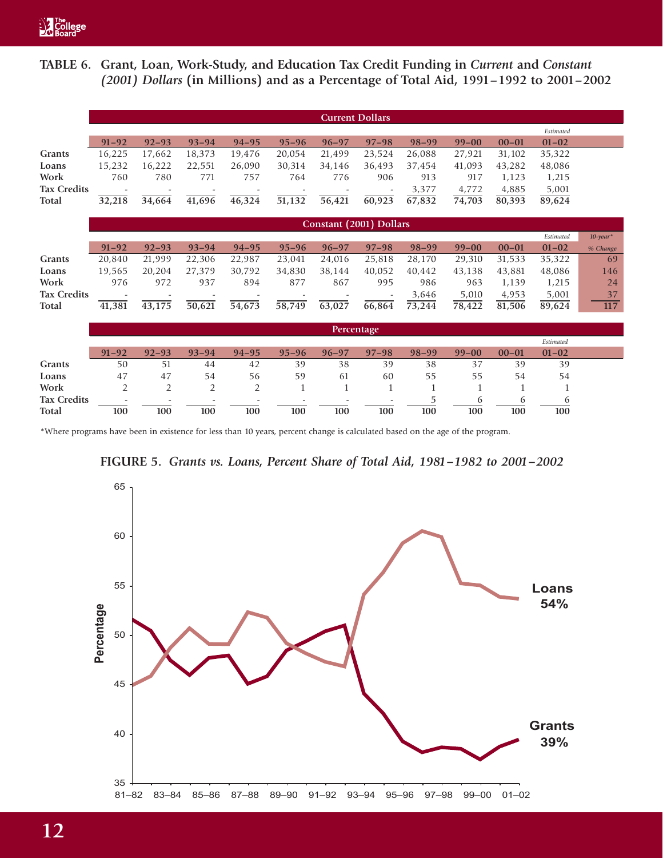# **TABLE 6. Grant, Loan, Work-Study, and Education Tax Credit Funding in** *Current* **and** *Constant (2001) Dollars* **(in Millions) and as a Percentage of Total Aid, 1991–1992 to 2001–2002**

|                    |                          |                          |                          |                          |           | <b>Current Dollars</b>   |                          |           |           |           |           |             |
|--------------------|--------------------------|--------------------------|--------------------------|--------------------------|-----------|--------------------------|--------------------------|-----------|-----------|-----------|-----------|-------------|
|                    |                          |                          |                          |                          |           |                          |                          |           |           |           | Estimated |             |
|                    | $91 - 92$                | $92 - 93$                | $93 - 94$                | $94 - 95$                | $95 - 96$ | $96 - 97$                | $97 - 98$                | $98 - 99$ | $99 - 00$ | $00 - 01$ | $01 - 02$ |             |
| Grants             | 16,225                   | 17,662                   | 18,373                   | 19,476                   | 20.054    | 21,499                   | 23,524                   | 26.088    | 27,921    | 31,102    | 35,322    |             |
| Loans              | 15,232                   | 16,222                   | 22,551                   | 26,090                   | 30,314    | 34,146                   | 36,493                   | 37,454    | 41,093    | 43,282    | 48,086    |             |
| Work               | 760                      | 780                      | 771                      | 757                      | 764       | 776                      | 906                      | 913       | 917       | 1,123     | 1,215     |             |
| <b>Tax Credits</b> | $\overline{\phantom{0}}$ | $\overline{\phantom{a}}$ | $\overline{\phantom{a}}$ | $\overline{\phantom{a}}$ |           | $\overline{\phantom{a}}$ | $\overline{\phantom{a}}$ | 3,377     | 4,772     | 4,885     | 5,001     |             |
| Total              | 32,218                   | 34,664                   | 41,696                   | 46,324                   | 51,132    | 56,421                   | 60,923                   | 67,832    | 74,703    | 80,393    | 89,624    |             |
|                    |                          |                          |                          |                          |           |                          |                          |           |           |           |           |             |
|                    |                          |                          |                          |                          |           | Constant (2001) Dollars  |                          |           |           |           |           |             |
|                    |                          |                          |                          |                          |           |                          |                          |           |           |           | Estimated | $10$ -year* |
|                    | $91 - 92$                | $92 - 93$                | $93 - 94$                | $94 - 95$                | $95 - 96$ | $96 - 97$                | $97 - 98$                | $98 - 99$ | $99 - 00$ | $00 - 01$ | $01 - 02$ | % Change    |
| Grants             | 20,840                   | 21,999                   | 22,306                   | 22,987                   | 23,041    | 24,016                   | 25,818                   | 28,170    | 29,310    | 31,533    | 35,322    | 69          |
| Loans              | 19,565                   | 20,204                   | 27,379                   | 30,792                   | 34,830    | 38,144                   | 40,052                   | 40,442    | 43,138    | 43,881    | 48,086    | 146         |
| Work               | 976                      | 972                      | 937                      | 894                      | 877       | 867                      | 995                      | 986       | 963       | 1,139     | 1,215     | 24          |

|                                    |                                 |                                 |                                 |           |           | Percentage                      |                                 |           |           |           |           |  |
|------------------------------------|---------------------------------|---------------------------------|---------------------------------|-----------|-----------|---------------------------------|---------------------------------|-----------|-----------|-----------|-----------|--|
|                                    |                                 |                                 |                                 |           |           |                                 |                                 |           |           |           | Estimated |  |
|                                    | $91 - 92$                       | $92 - 93$                       | $93 - 94$                       | $94 - 95$ | $95 - 96$ | $96 - 97$                       | $97 - 98$                       | $98 - 99$ | $99 - 00$ | $00 - 01$ | $01 - 02$ |  |
| Grants                             | 50                              | 51                              | 44                              | 42        | 39        | 38                              | 39                              | 38        | 37        | 39        | 39        |  |
| Loans                              | 47                              | 47                              | 54                              | 56        | 59        | 61                              | 60                              | 55        | 55        | 54        | 54        |  |
| Work                               |                                 |                                 |                                 |           |           |                                 |                                 |           |           |           |           |  |
| <b>Tax Credits</b><br><b>Total</b> | $\overline{\phantom{0}}$<br>100 | $\overline{\phantom{a}}$<br>100 | $\overline{\phantom{a}}$<br>100 | 100       | 100       | $\overline{\phantom{0}}$<br>100 | $\overline{\phantom{a}}$<br>100 | 100       | 100       | 100       | 100       |  |

**Tax Credits** - - - - - - - 3,646 5,010 4,953 5,001 37 **Total 41,381 43,175 50,621 54,673 58,749 63,027 66,864 73,244 78,422 81,506 89,624 117**

\*Where programs have been in existence for less than 10 years, percent change is calculated based on the age of the program.



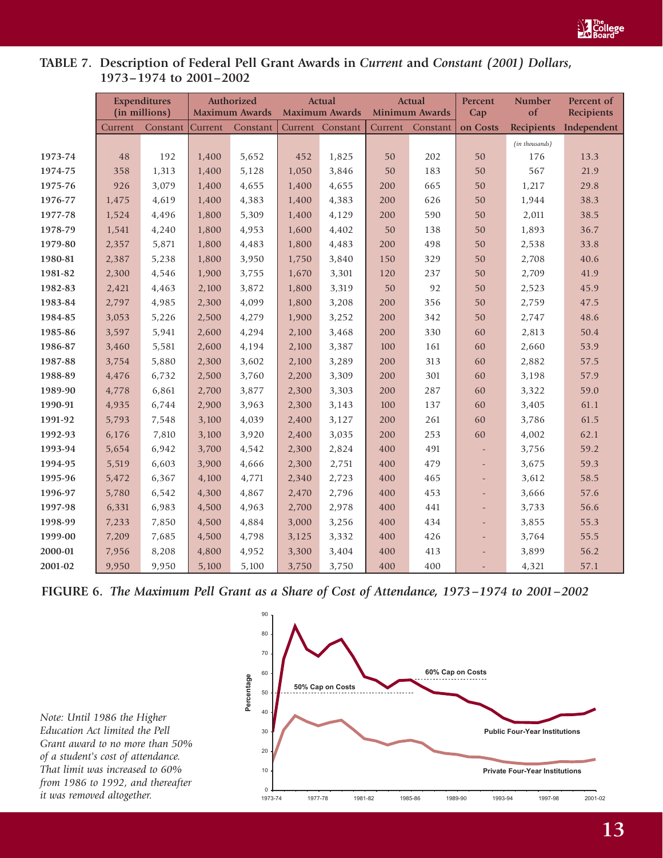

# **TABLE 7. Description of Federal Pell Grant Awards in** *Current* **and** *Constant (2001) Dollars***, 1973–1974 to 2001–2002**

|         |         | <b>Expenditures</b><br>(in millions) |         | Authorized<br><b>Maximum Awards</b> |         | <b>Actual</b><br><b>Maximum Awards</b> |         | <b>Actual</b><br><b>Minimum Awards</b> | Percent<br>Cap           | <b>Number</b><br>of | Percent of<br><b>Recipients</b> |
|---------|---------|--------------------------------------|---------|-------------------------------------|---------|----------------------------------------|---------|----------------------------------------|--------------------------|---------------------|---------------------------------|
|         | Current | Constant                             | Current | Constant                            | Current | Constant                               | Current | Constant                               | on Costs                 | <b>Recipients</b>   | Independent                     |
|         |         |                                      |         |                                     |         |                                        |         |                                        |                          | (in thousands)      |                                 |
| 1973-74 | 48      | 192                                  | 1,400   | 5,652                               | 452     | 1,825                                  | 50      | 202                                    | 50                       | 176                 | 13.3                            |
| 1974-75 | 358     | 1,313                                | 1,400   | 5,128                               | 1,050   | 3,846                                  | 50      | 183                                    | 50                       | 567                 | 21.9                            |
| 1975-76 | 926     | 3,079                                | 1,400   | 4,655                               | 1,400   | 4,655                                  | 200     | 665                                    | 50                       | 1,217               | 29.8                            |
| 1976-77 | 1,475   | 4,619                                | 1,400   | 4,383                               | 1,400   | 4,383                                  | 200     | 626                                    | 50                       | 1,944               | 38.3                            |
| 1977-78 | 1,524   | 4,496                                | 1,800   | 5,309                               | 1,400   | 4,129                                  | 200     | 590                                    | 50                       | 2,011               | 38.5                            |
| 1978-79 | 1,541   | 4,240                                | 1,800   | 4,953                               | 1,600   | 4,402                                  | 50      | 138                                    | 50                       | 1,893               | 36.7                            |
| 1979-80 | 2,357   | 5,871                                | 1,800   | 4,483                               | 1,800   | 4,483                                  | 200     | 498                                    | 50                       | 2,538               | 33.8                            |
| 1980-81 | 2,387   | 5,238                                | 1,800   | 3,950                               | 1,750   | 3,840                                  | 150     | 329                                    | 50                       | 2,708               | 40.6                            |
| 1981-82 | 2,300   | 4,546                                | 1,900   | 3,755                               | 1,670   | 3,301                                  | 120     | 237                                    | 50                       | 2,709               | 41.9                            |
| 1982-83 | 2,421   | 4,463                                | 2,100   | 3,872                               | 1,800   | 3,319                                  | 50      | 92                                     | 50                       | 2,523               | 45.9                            |
| 1983-84 | 2,797   | 4,985                                | 2,300   | 4,099                               | 1,800   | 3,208                                  | 200     | 356                                    | 50                       | 2,759               | 47.5                            |
| 1984-85 | 3,053   | 5,226                                | 2,500   | 4,279                               | 1,900   | 3,252                                  | 200     | 342                                    | 50                       | 2,747               | 48.6                            |
| 1985-86 | 3,597   | 5,941                                | 2,600   | 4,294                               | 2,100   | 3,468                                  | 200     | 330                                    | 60                       | 2,813               | 50.4                            |
| 1986-87 | 3,460   | 5,581                                | 2,600   | 4,194                               | 2,100   | 3,387                                  | 100     | 161                                    | 60                       | 2,660               | 53.9                            |
| 1987-88 | 3,754   | 5,880                                | 2,300   | 3,602                               | 2,100   | 3,289                                  | 200     | 313                                    | 60                       | 2,882               | 57.5                            |
| 1988-89 | 4,476   | 6,732                                | 2,500   | 3,760                               | 2,200   | 3,309                                  | 200     | 301                                    | 60                       | 3,198               | 57.9                            |
| 1989-90 | 4,778   | 6,861                                | 2,700   | 3,877                               | 2,300   | 3,303                                  | 200     | 287                                    | 60                       | 3,322               | 59.0                            |
| 1990-91 | 4,935   | 6,744                                | 2,900   | 3,963                               | 2,300   | 3,143                                  | 100     | 137                                    | 60                       | 3,405               | 61.1                            |
| 1991-92 | 5,793   | 7,548                                | 3,100   | 4,039                               | 2,400   | 3,127                                  | 200     | 261                                    | 60                       | 3,786               | 61.5                            |
| 1992-93 | 6,176   | 7,810                                | 3,100   | 3,920                               | 2,400   | 3,035                                  | 200     | 253                                    | 60                       | 4,002               | 62.1                            |
| 1993-94 | 5,654   | 6,942                                | 3,700   | 4,542                               | 2,300   | 2,824                                  | 400     | 491                                    | $\overline{\phantom{a}}$ | 3,756               | 59.2                            |
| 1994-95 | 5,519   | 6,603                                | 3,900   | 4,666                               | 2,300   | 2,751                                  | 400     | 479                                    | ÷.                       | 3,675               | 59.3                            |
| 1995-96 | 5,472   | 6,367                                | 4,100   | 4,771                               | 2,340   | 2,723                                  | 400     | 465                                    | $\overline{\phantom{a}}$ | 3,612               | 58.5                            |
| 1996-97 | 5,780   | 6,542                                | 4,300   | 4,867                               | 2,470   | 2,796                                  | 400     | 453                                    | $\overline{\phantom{a}}$ | 3,666               | 57.6                            |
| 1997-98 | 6,331   | 6,983                                | 4,500   | 4,963                               | 2,700   | 2,978                                  | 400     | 441                                    | $\overline{\phantom{a}}$ | 3,733               | 56.6                            |
| 1998-99 | 7,233   | 7,850                                | 4,500   | 4,884                               | 3,000   | 3,256                                  | 400     | 434                                    | $\overline{\phantom{a}}$ | 3,855               | 55.3                            |
| 1999-00 | 7,209   | 7,685                                | 4,500   | 4,798                               | 3,125   | 3,332                                  | 400     | 426                                    | $\overline{\phantom{0}}$ | 3,764               | 55.5                            |
| 2000-01 | 7,956   | 8,208                                | 4,800   | 4,952                               | 3,300   | 3,404                                  | 400     | 413                                    |                          | 3,899               | 56.2                            |
| 2001-02 | 9,950   | 9,950                                | 5,100   | 5,100                               | 3,750   | 3,750                                  | 400     | 400                                    | $\overline{\phantom{a}}$ | 4,321               | 57.1                            |

**FIGURE 6.** *The Maximum Pell Grant as a Share of Cost of Attendance, 1973–1974 to 2001–2002*

*Note: Until 1986 the Higher Education Act limited the Pell Grant award to no more than 50% of a student's cost of attendance. That limit was increased to 60% from 1986 to 1992, and thereafter it was removed altogether.*

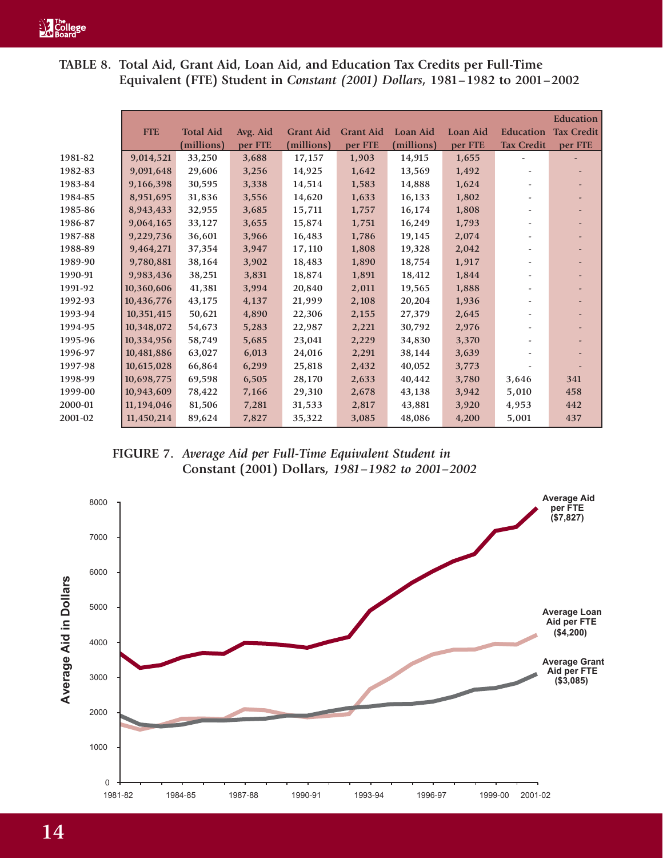**TABLE 8. Total Aid, Grant Aid, Loan Aid, and Education Tax Credits per Full-Time Equivalent (FTE) Student in** *Constant (2001) Dollars***, 1981–1982 to 2001–2002**

|         |            |                  |          |                  |                  |                 |                 |                   | <b>Education</b>  |
|---------|------------|------------------|----------|------------------|------------------|-----------------|-----------------|-------------------|-------------------|
|         | <b>FTE</b> | <b>Total Aid</b> | Avg. Aid | <b>Grant Aid</b> | <b>Grant Aid</b> | <b>Loan Aid</b> | <b>Loan Aid</b> | <b>Education</b>  | <b>Tax Credit</b> |
|         |            | (millions)       | per FTE  | (millions)       | per FTE          | (millions)      | per FTE         | <b>Tax Credit</b> | per FTE           |
| 1981-82 | 9,014,521  | 33,250           | 3,688    | 17,157           | 1,903            | 14,915          | 1,655           |                   |                   |
| 1982-83 | 9,091,648  | 29,606           | 3,256    | 14,925           | 1,642            | 13,569          | 1,492           |                   |                   |
| 1983-84 | 9,166,398  | 30,595           | 3,338    | 14,514           | 1,583            | 14,888          | 1,624           |                   |                   |
| 1984-85 | 8,951,695  | 31,836           | 3,556    | 14,620           | 1,633            | 16,133          | 1,802           |                   |                   |
| 1985-86 | 8,943,433  | 32,955           | 3,685    | 15,711           | 1,757            | 16,174          | 1,808           |                   |                   |
| 1986-87 | 9,064,165  | 33,127           | 3,655    | 15,874           | 1,751            | 16,249          | 1,793           |                   |                   |
| 1987-88 | 9,229,736  | 36,601           | 3,966    | 16,483           | 1,786            | 19,145          | 2,074           |                   |                   |
| 1988-89 | 9,464,271  | 37,354           | 3,947    | 17,110           | 1,808            | 19,328          | 2,042           |                   |                   |
| 1989-90 | 9,780,881  | 38,164           | 3,902    | 18,483           | 1,890            | 18,754          | 1,917           |                   |                   |
| 1990-91 | 9,983,436  | 38,251           | 3,831    | 18,874           | 1,891            | 18,412          | 1,844           |                   |                   |
| 1991-92 | 10,360,606 | 41,381           | 3,994    | 20,840           | 2,011            | 19,565          | 1,888           |                   |                   |
| 1992-93 | 10,436,776 | 43,175           | 4,137    | 21,999           | 2,108            | 20,204          | 1,936           |                   |                   |
| 1993-94 | 10,351,415 | 50,621           | 4,890    | 22,306           | 2,155            | 27,379          | 2,645           |                   |                   |
| 1994-95 | 10,348,072 | 54,673           | 5,283    | 22,987           | 2,221            | 30,792          | 2,976           |                   |                   |
| 1995-96 | 10,334,956 | 58,749           | 5,685    | 23,041           | 2,229            | 34,830          | 3,370           |                   |                   |
| 1996-97 | 10,481,886 | 63,027           | 6,013    | 24,016           | 2,291            | 38,144          | 3,639           |                   |                   |
| 1997-98 | 10,615,028 | 66,864           | 6,299    | 25,818           | 2,432            | 40,052          | 3,773           |                   |                   |
| 1998-99 | 10,698,775 | 69,598           | 6,505    | 28,170           | 2,633            | 40,442          | 3,780           | 3,646             | 341               |
| 1999-00 | 10,943,609 | 78,422           | 7,166    | 29,310           | 2,678            | 43,138          | 3,942           | 5,010             | 458               |
| 2000-01 | 11,194,046 | 81,506           | 7,281    | 31,533           | 2,817            | 43,881          | 3,920           | 4,953             | 442               |
| 2001-02 | 11,450,214 | 89,624           | 7,827    | 35,322           | 3,085            | 48,086          | 4,200           | 5,001             | 437               |



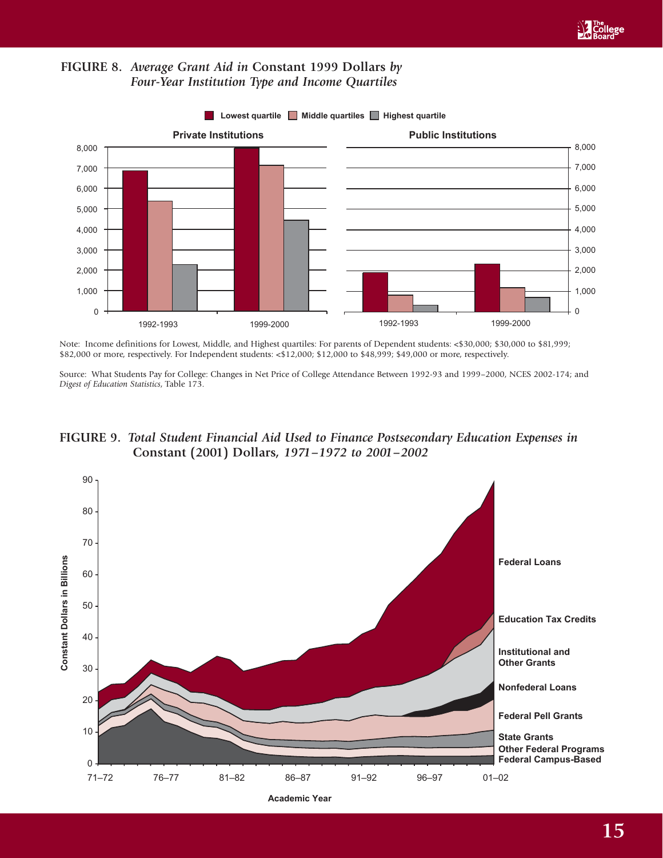



**Lowest quartile Middle quartiles Highest quartile** 

Note: Income definitions for Lowest, Middle, and Highest quartiles: For parents of Dependent students: <\$30,000; \$30,000 to \$81,999; \$82,000 or more, respectively. For Independent students: <\$12,000; \$12,000 to \$48,999; \$49,000 or more, respectively.

Source: What Students Pay for College: Changes in Net Price of College Attendance Between 1992-93 and 1999–2000, NCES 2002-174; and *Digest of Education Statistics*, Table 173.





**Academic Year**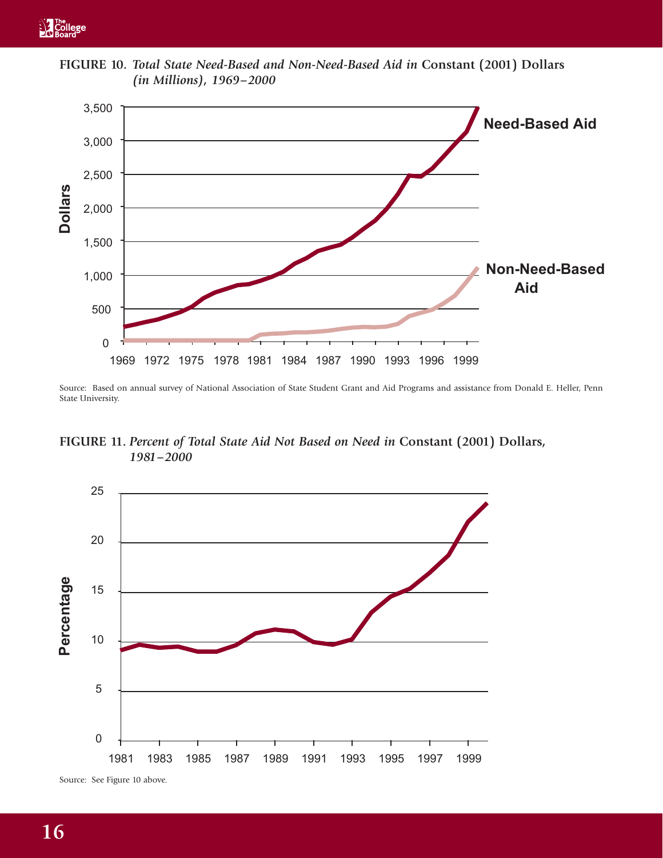

**FIGURE 10.** *Total State Need-Based and Non-Need-Based Aid in* **Constant (2001) Dollars** *(in Millions), 1969–2000*

Source: Based on annual survey of National Association of State Student Grant and Aid Programs and assistance from Donald E. Heller, Penn State University.

**FIGURE 11.** *Percent of Total State Aid Not Based on Need in* **Constant (2001) Dollars***, 1981–2000*



Source: See Figure 10 above.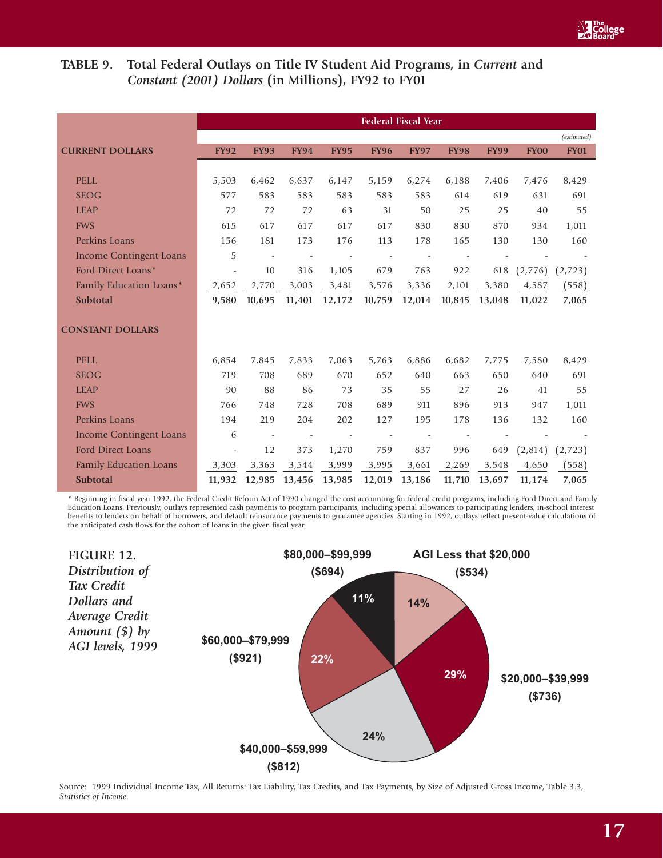# TABLE 9. Total Federal Outlays on Title IV Student Aid Programs, in *Current* and *Constant (2001) Dollars* **(in Millions), FY92 to FY01**

|                                |                          |                          |             |             |             | <b>Federal Fiscal Year</b> |             |             |             |             |
|--------------------------------|--------------------------|--------------------------|-------------|-------------|-------------|----------------------------|-------------|-------------|-------------|-------------|
|                                |                          |                          |             |             |             |                            |             |             |             | (estimated) |
| <b>CURRENT DOLLARS</b>         | <b>FY92</b>              | <b>FY93</b>              | <b>FY94</b> | <b>FY95</b> | <b>FY96</b> | <b>FY97</b>                | <b>FY98</b> | <b>FY99</b> | <b>FY00</b> | <b>FY01</b> |
|                                |                          |                          |             |             |             |                            |             |             |             |             |
| <b>PELL</b>                    | 5,503                    | 6,462                    | 6,637       | 6,147       | 5,159       | 6,274                      | 6,188       | 7,406       | 7,476       | 8,429       |
| <b>SEOG</b>                    | 577                      | 583                      | 583         | 583         | 583         | 583                        | 614         | 619         | 631         | 691         |
| <b>LEAP</b>                    | 72                       | 72                       | 72          | 63          | 31          | 50                         | 25          | 25          | 40          | 55          |
| <b>FWS</b>                     | 615                      | 617                      | 617         | 617         | 617         | 830                        | 830         | 870         | 934         | 1,011       |
| Perkins Loans                  | 156                      | 181                      | 173         | 176         | 113         | 178                        | 165         | 130         | 130         | 160         |
| <b>Income Contingent Loans</b> | 5                        |                          |             |             |             |                            |             |             |             |             |
| Ford Direct Loans*             | $\overline{\phantom{a}}$ | 10                       | 316         | 1,105       | 679         | 763                        | 922         | 618         | (2,776)     | (2,723)     |
| Family Education Loans*        | 2,652                    | 2,770                    | 3,003       | 3,481       | 3,576       | 3,336                      | 2,101       | 3,380       | 4,587       | (558)       |
| Subtotal                       | 9,580                    | 10,695                   | 11,401      | 12,172      | 10,759      | 12,014                     | 10,845      | 13,048      | 11,022      | 7,065       |
| <b>CONSTANT DOLLARS</b>        |                          |                          |             |             |             |                            |             |             |             |             |
| <b>PELL</b>                    | 6,854                    | 7,845                    | 7,833       | 7,063       | 5,763       | 6,886                      | 6,682       | 7,775       | 7,580       | 8,429       |
| <b>SEOG</b>                    | 719                      | 708                      | 689         | 670         | 652         | 640                        | 663         | 650         | 640         | 691         |
| <b>LEAP</b>                    | 90                       | 88                       | 86          | 73          | 35          | 55                         | 27          | 26          | 41          | 55          |
| <b>FWS</b>                     | 766                      | 748                      | 728         | 708         | 689         | 911                        | 896         | 913         | 947         | 1,011       |
| Perkins Loans                  | 194                      | 219                      | 204         | 202         | 127         | 195                        | 178         | 136         | 132         | 160         |
| <b>Income Contingent Loans</b> | 6                        | $\overline{\phantom{a}}$ |             |             |             |                            |             |             |             |             |
| Ford Direct Loans              | $\overline{\phantom{a}}$ | 12                       | 373         | 1,270       | 759         | 837                        | 996         | 649         | (2,814)     | (2,723)     |
| <b>Family Education Loans</b>  | 3,303                    | 3,363                    | 3,544       | 3,999       | 3,995       | 3,661                      | 2,269       | 3,548       | 4,650       | (558)       |
| Subtotal                       | 11,932                   | 12,985                   | 13,456      | 13,985      | 12,019      | 13,186                     | 11,710      | 13,697      | 11,174      | 7,065       |

\* Beginning in fiscal year 1992, the Federal Credit Reform Act of 1990 changed the cost accounting for federal credit programs, including Ford Direct and Family Education Loans. Previously, outlays represented cash payments to program participants, including special allowances to participating lenders, in-school interest benefits to lenders on behalf of borrowers, and default reinsurance payments to guarantee agencies. Starting in 1992, outlays reflect present-value calculations of the anticipated cash flows for the cohort of loans in the given fiscal year.



Source: 1999 Individual Income Tax, All Returns: Tax Liability, Tax Credits, and Tax Payments, by Size of Adjusted Gross Income, Table 3.3, *Statistics of Income*.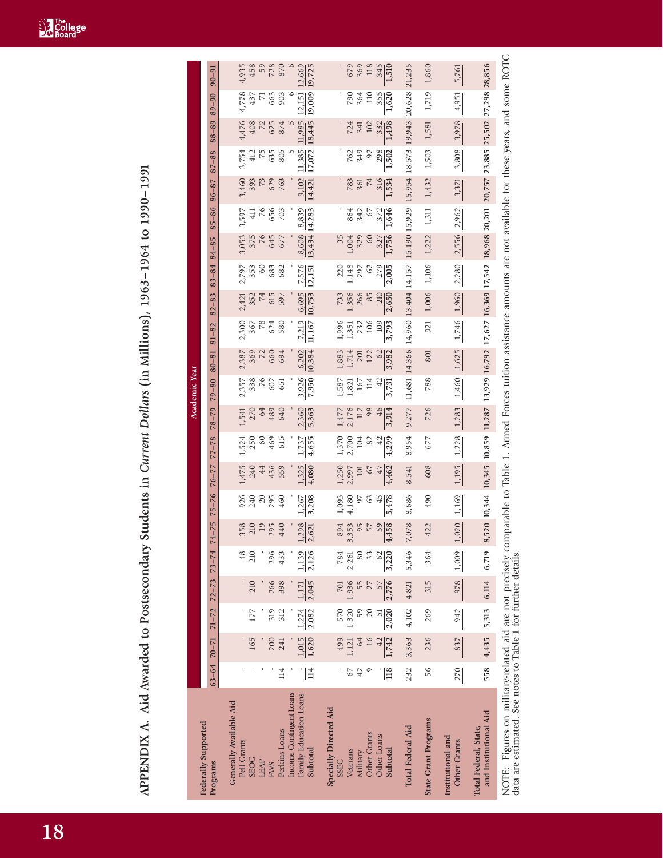APPENDIX A. Aid Awarded to Postsecondary Students in Current Dollars (in Millions), 1963-1964 to 1990-1991 **APPENDIX A. Aid Awarded to Postsecondary Students in** *Current Dollars* **(in Millions), 1963–1964 to 1990–1991**

|                                                                                                                                                                                                                                          |                  |                |                                                         |                |                |                         |                |                |                |                  | Academic Year    |                 |                 |                 |                 |                 |                  |                 |                  |                  |                  |                  |
|------------------------------------------------------------------------------------------------------------------------------------------------------------------------------------------------------------------------------------------|------------------|----------------|---------------------------------------------------------|----------------|----------------|-------------------------|----------------|----------------|----------------|------------------|------------------|-----------------|-----------------|-----------------|-----------------|-----------------|------------------|-----------------|------------------|------------------|------------------|------------------|
| Federally Supported<br>Programs                                                                                                                                                                                                          |                  |                | $63-64$ $70-71$ $71-72$ $72-73$ $73-74$ $74-75$ $75-76$ |                |                |                         |                | $76 - 77$      | $77 - 78$      | $78 - 79$        | $79 - 80$        | $80 - 81$       | $81 - 82$       | $82 - 83$       | $83 - 84$       | 84-85           | $85 - 8686 - 87$ |                 | $87 - 88$        | $88 - 89$        | $89 - 90$        | $90 - 91$        |
| Generally Available Aid<br>Pell Grants                                                                                                                                                                                                   |                  |                |                                                         |                | 48             | 358                     | 926            | 1,475          | 1,524          | 1,541            | 2,357            | 2,387           | 2,300           | 2,421           | 2,797           | 3,053           | 3,597            | 3,460           | 3,754            | 4,476            | 4,778            | 4,935            |
| <b>SEOG</b>                                                                                                                                                                                                                              |                  | 165            | 177                                                     | 210            | 210            | 210                     | 240            | 240            | 250            | 270              | 338              | 369             | 367             | 352             | 353             | 375             | $\overline{41}$  | 393             | 412              | 408              | 437              | 458              |
| LEAP                                                                                                                                                                                                                                     |                  |                |                                                         |                |                | 19                      | 20             | 44             | $^{60}$        | 64               | 76               | 72              | 78              | 74              | $^{60}$         | 76              | 76               | 73              | 75               |                  | L.               | 59               |
| <b>FWS</b>                                                                                                                                                                                                                               |                  | 200            | 319                                                     | 266            | 296            | 295                     | 295            | 436            | 469            | 489              | 602              | 660             | 624             | 615             | 683             | 645             | 656              | 629             | 635              | 625              | 663              | 728              |
| Perkins Loans                                                                                                                                                                                                                            | 114              | 241            | 312                                                     | 398            | 433            | 440                     | 460            | 559            | 615            | 640              | 651              | 694             | 580             | 597             | 682             | 677             | 703              | 763             | 805              | 874              | 903              | 870              |
| Income Contingent Loans                                                                                                                                                                                                                  |                  |                |                                                         |                |                |                         |                |                |                |                  |                  |                 |                 |                 |                 |                 |                  |                 |                  |                  |                  |                  |
| Family Education Loans<br>Subtotal                                                                                                                                                                                                       | $114$            | 1,015<br>1,620 | 2,082<br>1,274                                          | 2,045<br>1,171 | 2,126<br>1,139 | ,298<br>2,621           | 3,208<br>1,267 | 1,325<br>4,080 | 4,655<br>1,737 | 2,360<br>5,363   | 3,926<br>7,950   | 10,384<br>6,202 | 7,219<br>11,167 | 6,695<br>10,753 | 7,576<br>12,151 | 13,434<br>8,608 | 8,839<br>14,283  | 9,102<br>14,421 | 17,072<br>11,385 | 18,445<br>11,985 | 19,009<br>12,151 | 12,669<br>19,725 |
| <b>Specially Directed Aid</b><br><b>SSEC</b>                                                                                                                                                                                             |                  | 499            | 570                                                     | 701            | 784            | 894                     | 1,093          | 1,250          | 1,370          | 1,477            | 1,587            | ,883            | 1,996           | 733             | 220             | 35              |                  |                 |                  |                  |                  |                  |
| Veterans                                                                                                                                                                                                                                 | 67               | 1,121          | 1,320                                                   | 1,936          | 2,261          | 353                     | 4,180          | 2,997          | 2,700          | 2,176            | 1,821            | 1,714           | 1,351           | 1,356           | 1,148           | 1,004           | 864              | 783             | 762              | 724              | 790              | 679              |
| Military                                                                                                                                                                                                                                 | 42               | 64             | 59                                                      | 55             | 80             | 95                      | 57             | 101            | 104            | $\overline{117}$ | 167              | 201             | 232             | 266             | 297             | 329             | 342              | 361             | 349              | 341              | 364              | 369              |
| <b>Other Grants</b>                                                                                                                                                                                                                      |                  |                | 20                                                      |                | 33             | 57                      | 63             | 67             | 82             | 98               | $\frac{14}{5}$   | 122             | 106             | 85              | 62              | 60              | 67               | 74              | $\mathfrak{S}$   | 102              | $\Xi$            | $118$            |
| <b>Other Loans</b><br>Subtotal                                                                                                                                                                                                           | $\overline{118}$ | 1,742          | 2,020<br>5                                              | 2,776          | 62<br>3,220    | 458<br>59               | 5,478<br>45    | 47<br>4,462    | 42<br>4,299    | 46<br>3,914      | $^{42}$<br>3,731 | 62<br>3,982     | 3,793<br>109    | 210<br>2,650    | 279<br>2,005    | 1,756<br>327    | 1,646<br>372     | 316<br>1,534    | 298<br>1,502     | 1,498<br>332     | 355<br>1,620     | 345<br>1,510     |
| <b>Total Federal Aid</b>                                                                                                                                                                                                                 | 232              | 3,363          | 4,102                                                   | 4,821          | 5,346          | 078<br>$\triangleright$ | 8,686          | 8,541          | 8,954          | 9,277            | 11,681           | 14,366          | 14,960          | 13,404 14,157   |                 | 15,190 15,929   |                  | 15,954          | 18,573           | 19,943           | 20,628           | 21,235           |
| <b>State Grant Programs</b>                                                                                                                                                                                                              | 56               | 236            | 269                                                     | 315            | 364            | 422                     | 490            | 608            | 677            | 726              | 788              | 801             | 921             | 1,006           | 1,106           | 1,222           | 1,311            | 1,432           | 1,503            | 1,581            | 1,719            | 1,860            |
| Institutional and<br><b>Other Grants</b>                                                                                                                                                                                                 | 270              | 837            | 942                                                     | 978            | 1,009          | 020,                    | 1,169          | 1,195          | 1,228          | 1,283            | 1,460            | 1,625           | 1,746           | 1,960           | 2,280           | 2,556           | 2,962            | 3,371           | 3,808            | 3,978            | 4,951            | 5,761            |
| and Institutional Aid<br>Total Federal, State,                                                                                                                                                                                           | 558              | 4,435          | 5,313                                                   | 6,114          | 6,719          | 520<br>$\infty$         | 10,344         | 10,345         | 10,859         | 11,287           |                  | 13,929 16,792   | 17,627          | 16,369 17,542   |                 | 18,968 20,201   |                  | 20,757          | 23,885           | 25,502           | 27,298           | 28,856           |
| NOTE: Figures on military-related aid are not precisely comparable to Table 1. Armed Forces tuition assistance amounts are not available for these years, and some ROTC<br>data are estimated. See notes to Table 1 for further details. |                  |                |                                                         |                |                |                         |                |                |                |                  |                  |                 |                 |                 |                 |                 |                  |                 |                  |                  |                  |                  |

**18**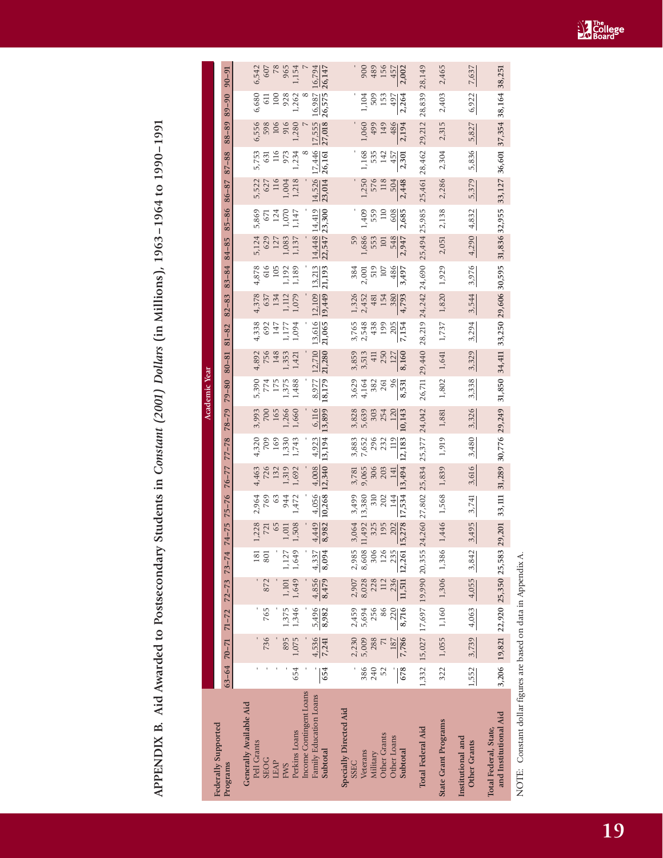APPENDIX B. Aid Awarded to Postsecondary Students in Constant (2001) Dollars (in Millions), 1963-1964 to 1990-1991 **APPENDIX B. Aid Awarded to Postsecondary Students in** *Constant (2001) Dollars* **(in Millions), 1963–1964 to 1990–1991**

| Federally Supported                               |       |                                         |           |             |             |                                                                             |                        |                                                                                                                                           |                     |                                                                                                                                 | Academic Year                                    |                                                        |                                                 |                                        |                                                                                         |                                                 |                                                   |                                                            |                                        |                                                                                  |                                                                     |                                      |
|---------------------------------------------------|-------|-----------------------------------------|-----------|-------------|-------------|-----------------------------------------------------------------------------|------------------------|-------------------------------------------------------------------------------------------------------------------------------------------|---------------------|---------------------------------------------------------------------------------------------------------------------------------|--------------------------------------------------|--------------------------------------------------------|-------------------------------------------------|----------------------------------------|-----------------------------------------------------------------------------------------|-------------------------------------------------|---------------------------------------------------|------------------------------------------------------------|----------------------------------------|----------------------------------------------------------------------------------|---------------------------------------------------------------------|--------------------------------------|
| Programs                                          |       | $63-64$ $70-71$ $71-72$ $72-73$ $73-74$ |           |             |             | $74-75$ $75-76$                                                             |                        | $76 - 77$                                                                                                                                 | $77 - 78$           | $78 - 79$                                                                                                                       | $79 - 80$                                        | $80 - 81$                                              | $81 - 82$                                       | $82 - 83$                              | $83 - 84$                                                                               | 84-85                                           | $85 - 86$                                         | 86-87                                                      | $87 - 88$                              | $88 - 89$                                                                        | $89 - 90$                                                           | $90 - 91$                            |
| Generally Available Aid<br>Pell Grants            |       |                                         |           |             | 181         |                                                                             |                        |                                                                                                                                           |                     |                                                                                                                                 |                                                  |                                                        |                                                 |                                        |                                                                                         |                                                 |                                                   |                                                            |                                        |                                                                                  |                                                                     |                                      |
| <b>SEOG</b>                                       |       | 736                                     | 765       | 872         | 801         | $\begin{array}{c} 1,228 \\ 721 \\ 1,011 \\ 1,508 \\ 1,908 \end{array}$      | 2,964<br>769<br>63     | 4,463<br>726<br>132                                                                                                                       | 4,320<br>709<br>169 | 3,993<br>700<br>1,266<br>1,260                                                                                                  | 5,390<br>774<br>175<br>5,75<br>1,488<br>1,48     | $4,892$<br>$756$<br>$1,353$<br>$1,421$<br>$1,421$      | $4,338$<br>$692$<br>$147$<br>$1,177$<br>$1,094$ | $4,378$<br>$637$<br>$1,112$<br>$1,079$ | $\begin{array}{r} 4,878 \\ 616 \\ 105 \\ 1,192 \\ 1,189 \\ \end{array}$                 | 5,124<br>629<br>1,083<br>1,137<br>1,137         | 5,869<br>671<br>1,070<br>1,147<br>1,147           | 5,522<br>627<br>1,004<br>1,218<br>1,218                    | 5,753<br>631<br>116<br>1,234<br>1,234  | $\begin{array}{r} 6,556 \\ 598 \\ 106 \\ 916 \\ 1,280 \end{array}$               | $\begin{bmatrix} 6,680 \\ 611 \\ 100 \\ 928 \\ 1,262 \end{bmatrix}$ | 6,542<br>607<br>78<br>7,154<br>1,154 |
| LEAP                                              |       |                                         |           |             |             |                                                                             |                        |                                                                                                                                           |                     |                                                                                                                                 |                                                  |                                                        |                                                 |                                        |                                                                                         |                                                 |                                                   |                                                            |                                        |                                                                                  |                                                                     |                                      |
| <b>EWS</b>                                        |       | 895                                     | 1,375     | $1,101$     | 1,127       |                                                                             | 944                    | 1,319<br>1,692                                                                                                                            | 1,330               |                                                                                                                                 |                                                  |                                                        |                                                 |                                        |                                                                                         |                                                 |                                                   |                                                            |                                        |                                                                                  |                                                                     |                                      |
| Perkins Loans                                     | 654   | 1,075                                   | 1,346     |             | 1,649 1,649 |                                                                             | 1,472                  |                                                                                                                                           | 1,743               |                                                                                                                                 |                                                  |                                                        |                                                 |                                        |                                                                                         |                                                 |                                                   |                                                            |                                        |                                                                                  |                                                                     |                                      |
| Income Contingent Loans<br>Family Education Loans |       | 4,536                                   | 5,496     | 4,856       | 4,337       |                                                                             |                        |                                                                                                                                           |                     |                                                                                                                                 |                                                  |                                                        |                                                 |                                        |                                                                                         |                                                 |                                                   |                                                            |                                        |                                                                                  |                                                                     |                                      |
| Subtotal                                          | 654   | 7,241                                   | 8,982     | 8,479 8,094 |             | $\frac{4,449}{8,982}$                                                       | $\frac{4,056}{10,268}$ | $\frac{4,008}{12,340}$ $\frac{4,923}{13,194}$                                                                                             |                     | $\frac{6,116}{13,899}$                                                                                                          | $\frac{8.977}{18,179}$                           | $\frac{12,710}{21,280}$                                | $\frac{13,616}{21,065}$                         | $\frac{12,109}{19,449}$                | $\frac{13,213}{21,193}$                                                                 | $\frac{14,448}{22,547}$ $\frac{14,419}{23,300}$ |                                                   | $\frac{14,526}{23,014}$                                    |                                        | $\frac{17,446}{26,161}$ $\frac{17,555}{27,018}$ $\frac{16,987}{26,575}$          |                                                                     | $\frac{16,794}{26,147}$              |
| Specially Directed Aid<br><b>SSEC</b>             |       | 2,230                                   | 2,459     | 2,907       | 2,985       | 3,064 3,42<br>- 3,064 3,42<br>- 3,580 3,0<br>- 3,580 3,0<br>- 3,02<br>- 202 |                        |                                                                                                                                           |                     |                                                                                                                                 |                                                  |                                                        |                                                 |                                        |                                                                                         |                                                 |                                                   |                                                            |                                        |                                                                                  |                                                                     |                                      |
| Veterans                                          | 386   | 5,009                                   | 5,694     | 8,028       | 8,608       |                                                                             |                        |                                                                                                                                           |                     | 3,828<br>5,639<br>5,639<br>254                                                                                                  | 3,629<br>4,164<br>4,182<br>582<br>261            | $3,859$<br>$3,71$<br>$3,71$<br>$5,7$<br>$5,7$<br>$5,7$ | 3,765<br>2,548<br>438<br>199                    | $1,326$<br>$2,452$<br>$481$<br>$154$   |                                                                                         |                                                 |                                                   |                                                            |                                        |                                                                                  |                                                                     |                                      |
| Military                                          | 240   | 288                                     | 256       | 228         | 306         |                                                                             |                        |                                                                                                                                           |                     |                                                                                                                                 |                                                  |                                                        |                                                 |                                        |                                                                                         |                                                 |                                                   |                                                            |                                        |                                                                                  |                                                                     | 900<br>489<br>156                    |
| Other Grants<br>Other Loans                       |       | 187                                     | 220<br>86 | 112<br>236  | 126<br>235  | 202                                                                         | 144                    |                                                                                                                                           |                     |                                                                                                                                 |                                                  |                                                        |                                                 |                                        |                                                                                         |                                                 |                                                   |                                                            |                                        |                                                                                  |                                                                     |                                      |
| Subtotal                                          | 678   | 7,786                                   | 8,716     | 11,511      | 12,261      | 15,278                                                                      | 17,534                 | $\begin{array}{cccc} 3,781 & 3,883 \\ 9,065 & 7,652 \\ 9,065 & 295 \\ 306 & 293 \\ 203 & 232 \\ 141 & 119 \\ 13,494 & 12,183 \end{array}$ |                     | $\frac{120}{10,143}$                                                                                                            | $\frac{96}{8,531}$                               | $\frac{127}{8,160}$                                    | $\frac{205}{7,154}$                             | $\frac{380}{4,793}$                    | $\begin{array}{r} 384 \\ 2,001 \\ 519 \\ 107 \\ \hline 486 \\ \hline 3,497 \end{array}$ | 59<br>1,686<br>553<br>101<br>548<br>2,947       | $1,409$<br>$1,559$<br>$110$<br>$-608$<br>$-2,685$ | $1,250$<br>$576$<br>$576$<br>$504$<br>$504$<br><br>$2,448$ | $1,168$<br>535<br>142<br>1457<br>2,301 | $\begin{array}{r} 1,060 \\ 499 \\ 149 \\ \hline 486 \\ \hline 2,194 \end{array}$ | $1,104$<br>509<br>153<br>153<br>2,264                               | $\frac{457}{2,002}$                  |
| Total Federal Aid                                 |       | 1,332 15,027 17,697 19,990 20,355       |           |             |             |                                                                             |                        | 24,260 27,802 25,834 25,377 24,042                                                                                                        |                     |                                                                                                                                 | 26,711 29,440 28,219 24,242 24,690 25,494 25,985 |                                                        |                                                 |                                        |                                                                                         |                                                 |                                                   | 25,461 28,462                                              |                                        | 29, 212 28, 839                                                                  |                                                                     | 28,149                               |
| State Grant Programs                              |       | 322 1,055 1,160 1,306 1,386             |           |             |             |                                                                             |                        |                                                                                                                                           |                     | 1,446 1,568 1,839 1,919 1,881 1,802 1,641 1,737 1,820 1,929 2,051 2,138                                                         |                                                  |                                                        |                                                 |                                        |                                                                                         |                                                 |                                                   | $2,286$ $2,304$ $2,315$ $2,403$ $2,465$                    |                                        |                                                                                  |                                                                     |                                      |
| Institutional and<br><b>Other Grants</b>          | 1,552 | 3,739                                   | 4,063     | 4,055       | 3,842       | 3,495                                                                       | 3,741                  | 3,616                                                                                                                                     | 3,480               | 3,326                                                                                                                           | 3,338                                            | 3,329                                                  | 3,294                                           | 3,544                                  | 3,976                                                                                   | 4,290                                           | 4,832                                             | 5,379                                                      | 5,836                                  | 5,827                                                                            | 6,922                                                               | 7,637                                |
| and Institutional Aid<br>Total Federal, State,    |       | 3,206 19,821 22,920 25,350 25,583       |           |             |             | 29,201                                                                      |                        |                                                                                                                                           |                     | 33, 111 31, 289 30, 776 29, 249 31, 850 34, 411 33, 250 29, 606 30, 595 31, 836 32, 955 33, 127 36, 601 37, 354 38, 164 38, 251 |                                                  |                                                        |                                                 |                                        |                                                                                         |                                                 |                                                   |                                                            |                                        |                                                                                  |                                                                     |                                      |

NOTE: Constant dollar figures are based on data in Appendix A. NOTE: Constant dollar figures are based on data in Appendix A.

**Example**<br>**Board** 

**19**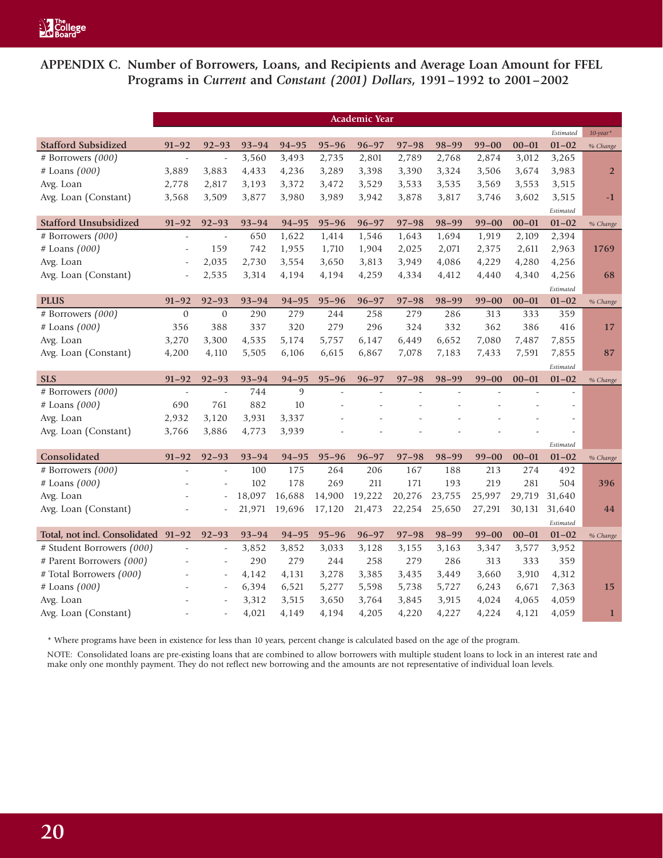**APPENDIX C. Number of Borrowers, Loans, and Recipients and Average Loan Amount for FFEL Programs in** *Current* **and** *Constant (2001) Dollars***, 1991–1992 to 2001–2002**

|                                     |                          |                          |           |                |           | <b>Academic Year</b> |           |           |           |           |           |                |
|-------------------------------------|--------------------------|--------------------------|-----------|----------------|-----------|----------------------|-----------|-----------|-----------|-----------|-----------|----------------|
|                                     |                          |                          |           |                |           |                      |           |           |           |           | Estimated | $10$ -year*    |
| <b>Stafford Subsidized</b>          | $91 - 92$                | $92 - 93$                | $93 - 94$ | $94 - 95$      | $95 - 96$ | $96 - 97$            | $97 - 98$ | $98 - 99$ | $99 - 00$ | $00 - 01$ | $01 - 02$ | % Change       |
| # Borrowers (000)                   | $\overline{\phantom{a}}$ | $\overline{\phantom{a}}$ | 3,560     | 3,493          | 2,735     | 2,801                | 2,789     | 2,768     | 2,874     | 3,012     | 3,265     |                |
| $#$ Loans $(000)$                   | 3,889                    | 3,883                    | 4,433     | 4,236          | 3,289     | 3,398                | 3,390     | 3,324     | 3,506     | 3,674     | 3,983     | $\overline{2}$ |
| Avg. Loan                           | 2,778                    | 2,817                    | 3,193     | 3,372          | 3,472     | 3,529                | 3,533     | 3,535     | 3,569     | 3,553     | 3,515     |                |
| Avg. Loan (Constant)                | 3,568                    | 3,509                    | 3,877     | 3,980          | 3,989     | 3,942                | 3,878     | 3,817     | 3,746     | 3,602     | 3,515     | $-1$           |
|                                     |                          |                          |           |                |           |                      |           |           |           |           | Estimated |                |
| <b>Stafford Unsubsidized</b>        | $91 - 92$                | $92 - 93$                | $93 - 94$ | $94 - 95$      | $95 - 96$ | $96 - 97$            | $97 - 98$ | 98-99     | $99 - 00$ | $00 - 01$ | $01 - 02$ | % Change       |
| # Borrowers $(000)$                 | $\frac{1}{2}$            | $\overline{a}$           | 650       | 1,622          | 1,414     | 1,546                | 1,643     | 1,694     | 1,919     | 2,109     | 2,394     |                |
| # Loans (000)                       |                          | 159                      | 742       | 1,955          | 1,710     | 1,904                | 2,025     | 2,071     | 2,375     | 2,611     | 2,963     | 1769           |
| Avg. Loan                           | $\bar{a}$                | 2,035                    | 2,730     | 3,554          | 3,650     | 3,813                | 3,949     | 4,086     | 4,229     | 4,280     | 4,256     |                |
| Avg. Loan (Constant)                | $\overline{a}$           | 2,535                    | 3,314     | 4,194          | 4,194     | 4,259                | 4,334     | 4,412     | 4,440     | 4,340     | 4,256     | 68             |
|                                     |                          |                          |           |                |           |                      |           |           |           |           | Estimated |                |
| <b>PLUS</b>                         | $91 - 92$                | $92 - 93$                | $93 - 94$ | $94 - 95$      | $95 - 96$ | $96 - 97$            | $97 - 98$ | $98 - 99$ | $99 - 00$ | $00 - 01$ | $01 - 02$ | % Change       |
| # Borrowers (000)                   | $\mathbf{0}$             | $\mathbf{0}$             | 290       | 279            | 244       | 258                  | 279       | 286       | 313       | 333       | 359       |                |
| # Loans (000)                       | 356                      | 388                      | 337       | 320            | 279       | 296                  | 324       | 332       | 362       | 386       | 416       | 17             |
| Avg. Loan                           | 3,270                    | 3,300                    | 4,535     | 5,174          | 5,757     | 6,147                | 6,449     | 6,652     | 7,080     | 7,487     | 7,855     |                |
| Avg. Loan (Constant)                | 4,200                    | 4,110                    | 5,505     | 6,106          | 6,615     | 6,867                | 7,078     | 7,183     | 7,433     | 7,591     | 7,855     | 87             |
|                                     |                          |                          |           |                |           |                      |           |           |           |           | Estimated |                |
| <b>SLS</b>                          | $91 - 92$                | $92 - 93$                | $93 - 94$ | $94 - 95$      | $95 - 96$ | $96 - 97$            | $97 - 98$ | $98 - 99$ | $99 - 00$ | $00 - 01$ | $01 - 02$ | % Change       |
| # Borrowers (000)                   | $\overline{a}$           | $\overline{a}$           | 744       | $\overline{9}$ |           |                      |           |           |           |           |           |                |
| # Loans (000)                       | 690                      | 761                      | 882       | 10             |           |                      |           |           |           |           | ÷,        |                |
| Avg. Loan                           | 2,932                    | 3,120                    | 3,931     | 3,337          |           |                      |           |           |           |           |           |                |
| Avg. Loan (Constant)                | 3,766                    | 3,886                    | 4,773     | 3,939          |           |                      |           |           |           |           |           |                |
|                                     |                          |                          |           |                |           |                      |           |           |           |           | Estimated |                |
| Consolidated                        | $91 - 92$                | $92 - 93$                | $93 - 94$ | $94 - 95$      | $95 - 96$ | $96 - 97$            | $97 - 98$ | $98 - 99$ | $99 - 00$ | $00 - 01$ | $01 - 02$ | % Change       |
| # Borrowers (000)                   | $\overline{a}$           | $\overline{a}$           | 100       | 175            | 264       | 206                  | 167       | 188       | 213       | 274       | 492       |                |
| # Loans (000)                       |                          |                          | 102       | 178            | 269       | 211                  | 171       | 193       | 219       | 281       | 504       | 396            |
| Avg. Loan                           |                          |                          | 18,097    | 16,688         | 14,900    | 19,222               | 20,276    | 23,755    | 25,997    | 29,719    | 31,640    |                |
| Avg. Loan (Constant)                |                          |                          | 21,971    | 19,696         | 17,120    | 21,473               | 22,254    | 25,650    | 27,291    | 30,131    | 31,640    | 44             |
|                                     |                          |                          |           |                |           |                      |           |           |           |           | Estimated |                |
| Total, not incl. Consolidated 91-92 |                          | $92 - 93$                | $93 - 94$ | $94 - 95$      | $95 - 96$ | $96 - 97$            | $97 - 98$ | $98 - 99$ | $99 - 00$ | $00 - 01$ | $01 - 02$ | % Change       |
| # Student Borrowers (000)           | $\overline{a}$           | $\bar{\phantom{a}}$      | 3,852     | 3,852          | 3,033     | 3,128                | 3,155     | 3,163     | 3,347     | 3,577     | 3,952     |                |
| # Parent Borrowers (000)            |                          | $\overline{a}$           | 290       | 279            | 244       | 258                  | 279       | 286       | 313       | 333       | 359       |                |
| # Total Borrowers (000)             |                          | $\overline{\phantom{a}}$ | 4,142     | 4,131          | 3,278     | 3,385                | 3,435     | 3,449     | 3,660     | 3,910     | 4,312     |                |
| # Loans (000)                       |                          |                          | 6,394     | 6,521          | 5,277     | 5,598                | 5,738     | 5,727     | 6,243     | 6,671     | 7,363     | 15             |
| Avg. Loan                           |                          |                          | 3,312     | 3,515          | 3,650     | 3,764                | 3,845     | 3,915     | 4,024     | 4,065     | 4,059     |                |
|                                     |                          |                          | 4,021     | 4,149          |           |                      |           |           |           |           |           |                |

\* Where programs have been in existence for less than 10 years, percent change is calculated based on the age of the program.

NOTE: Consolidated loans are pre-existing loans that are combined to allow borrowers with multiple student loans to lock in an interest rate and make only one monthly payment. They do not reflect new borrowing and the amounts are not representative of individual loan levels.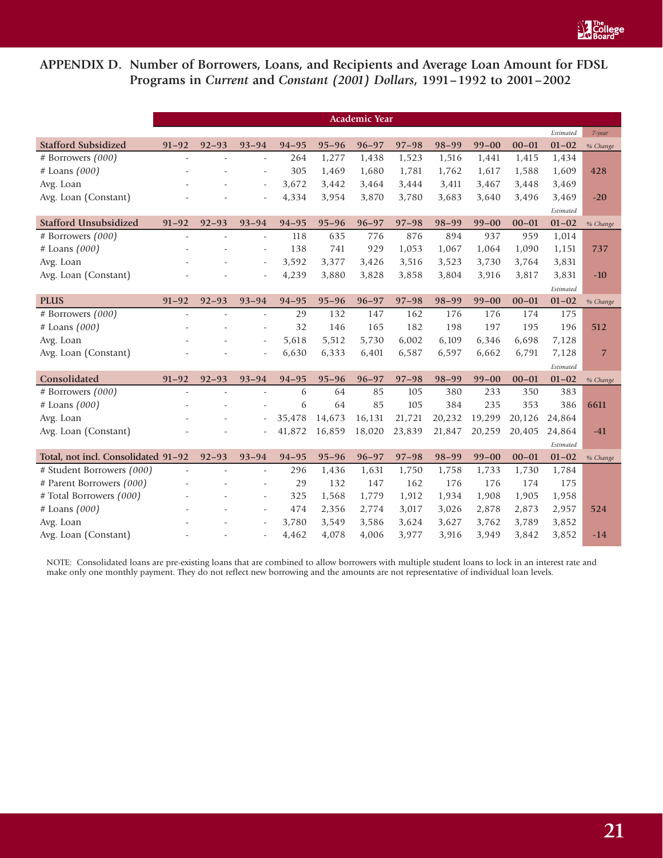

# **APPENDIX D. Number of Borrowers, Loans, and Recipients and Average Loan Amount for FDSL Programs in** *Current* **and** *Constant (2001) Dollars***, 1991–1992 to 2001–2002**

|                                     |                          |           |                          |           |           | <b>Academic Year</b> |           |           |           |           |           |                |
|-------------------------------------|--------------------------|-----------|--------------------------|-----------|-----------|----------------------|-----------|-----------|-----------|-----------|-----------|----------------|
|                                     |                          |           |                          |           |           |                      |           |           |           |           | Estimated | $7$ -year      |
| <b>Stafford Subsidized</b>          | $91 - 92$                | $92 - 93$ | $93 - 94$                | $94 - 95$ | $95 - 96$ | $96 - 97$            | $97 - 98$ | $98 - 99$ | $99 - 00$ | $00 - 01$ | $01 - 02$ | % Change       |
| # Borrowers (000)                   | $\overline{\phantom{a}}$ | ÷         | $\sim$                   | 264       | 1,277     | 1,438                | 1,523     | 1,516     | 1,441     | 1,415     | 1,434     |                |
| # Loans (000)                       |                          |           | $\sim$                   | 305       | 1,469     | 1,680                | 1,781     | 1,762     | 1,617     | 1,588     | 1,609     | 428            |
| Avg. Loan                           |                          |           | ÷,                       | 3,672     | 3,442     | 3,464                | 3,444     | 3,411     | 3,467     | 3,448     | 3,469     |                |
| Avg. Loan (Constant)                |                          |           | ÷,                       | 4,334     | 3,954     | 3,870                | 3,780     | 3,683     | 3,640     | 3,496     | 3,469     | $-20$          |
|                                     |                          |           |                          |           |           |                      |           |           |           |           | Estimated |                |
| <b>Stafford Unsubsidized</b>        | $91 - 92$                | $92 - 93$ | $93 - 94$                | $94 - 95$ | $95 - 96$ | $96 - 97$            | $97 - 98$ | $98 - 99$ | $99 - 00$ | $00 - 01$ | $01 - 02$ | % Change       |
| # Borrowers (000)                   | ÷,                       |           | $\overline{\phantom{a}}$ | 118       | 635       | 776                  | 876       | 894       | 937       | 959       | 1,014     |                |
| # Loans (000)                       |                          |           | $\overline{\phantom{m}}$ | 138       | 741       | 929                  | 1,053     | 1,067     | 1,064     | 1,090     | 1,151     | 737            |
| Avg. Loan                           |                          |           | $\overline{\phantom{a}}$ | 3,592     | 3,377     | 3,426                | 3,516     | 3,523     | 3,730     | 3,764     | 3,831     |                |
| Avg. Loan (Constant)                |                          |           |                          | 4,239     | 3,880     | 3,828                | 3,858     | 3,804     | 3,916     | 3,817     | 3,831     | $-10$          |
|                                     |                          |           |                          |           |           |                      |           |           |           |           | Estimated |                |
| <b>PLUS</b>                         | $91 - 92$                | $92 - 93$ | $93 - 94$                | $94 - 95$ | $95 - 96$ | $96 - 97$            | $97 - 98$ | $98 - 99$ | $99 - 00$ | $00 - 01$ | $01 - 02$ | % Change       |
| # Borrowers (000)                   | ÷,                       |           | $\overline{\phantom{a}}$ | 29        | 132       | 147                  | 162       | 176       | 176       | 174       | 175       |                |
| $#$ Loans $(000)$                   |                          |           | $\overline{\phantom{a}}$ | 32        | 146       | 165                  | 182       | 198       | 197       | 195       | 196       | 512            |
| Avg. Loan                           |                          |           | ÷,                       | 5,618     | 5,512     | 5,730                | 6,002     | 6,109     | 6,346     | 6,698     | 7,128     |                |
| Avg. Loan (Constant)                |                          |           |                          | 6,630     | 6,333     | 6,401                | 6,587     | 6,597     | 6,662     | 6,791     | 7,128     | $\overline{7}$ |
|                                     |                          |           |                          |           |           |                      |           |           |           |           | Estimated |                |
| Consolidated                        | $91 - 92$                | $92 - 93$ | $93 - 94$                | $94 - 95$ | $95 - 96$ | $96 - 97$            | $97 - 98$ | $98 - 99$ | $99 - 00$ | $00 - 01$ | $01 - 02$ | % Change       |
| # Borrowers (000)                   |                          |           |                          | 6         | 64        | 85                   | 105       | 380       | 233       | 350       | 383       |                |
| $#$ Loans $(000)$                   |                          |           |                          | 6         | 64        | 85                   | 105       | 384       | 235       | 353       | 386       | 6611           |
| Avg. Loan                           |                          |           | $\overline{\phantom{a}}$ | 35,478    | 14,673    | 16,131               | 21,721    | 20,232    | 19,299    | 20,126    | 24,864    |                |
| Avg. Loan (Constant)                |                          |           |                          | 41,872    | 16,859    | 18,020               | 23,839    | 21,847    | 20,259    | 20,405    | 24,864    | $-41$          |
|                                     |                          |           |                          |           |           |                      |           |           |           |           | Estimated |                |
| Total, not incl. Consolidated 91-92 |                          | $92 - 93$ | $93 - 94$                | $94 - 95$ | $95 - 96$ | $96 - 97$            | $97 - 98$ | $98 - 99$ | $99 - 00$ | $00 - 01$ | $01 - 02$ | % Change       |
| # Student Borrowers (000)           | ÷                        |           | $\sim$                   | 296       | 1,436     | 1,631                | 1,750     | 1,758     | 1,733     | 1,730     | 1,784     |                |
| # Parent Borrowers (000)            |                          |           | ÷.                       | 29        | 132       | 147                  | 162       | 176       | 176       | 174       | 175       |                |
| # Total Borrowers (000)             |                          |           |                          | 325       | 1,568     | 1,779                | 1,912     | 1,934     | 1,908     | 1,905     | 1,958     |                |
| # Loans (000)                       |                          |           | $\overline{\phantom{a}}$ | 474       | 2,356     | 2,774                | 3,017     | 3,026     | 2,878     | 2,873     | 2,957     | 524            |
| Avg. Loan                           |                          |           |                          | 3,780     | 3,549     | 3,586                | 3,624     | 3,627     | 3,762     | 3,789     | 3,852     |                |
| Avg. Loan (Constant)                |                          |           | $\overline{\phantom{a}}$ | 4,462     | 4,078     | 4,006                | 3,977     | 3,916     | 3,949     | 3,842     | 3,852     | $-14$          |

NOTE: Consolidated loans are pre-existing loans that are combined to allow borrowers with multiple student loans to lock in an interest rate and make only one monthly payment. They do not reflect new borrowing and the amounts are not representative of individual loan levels.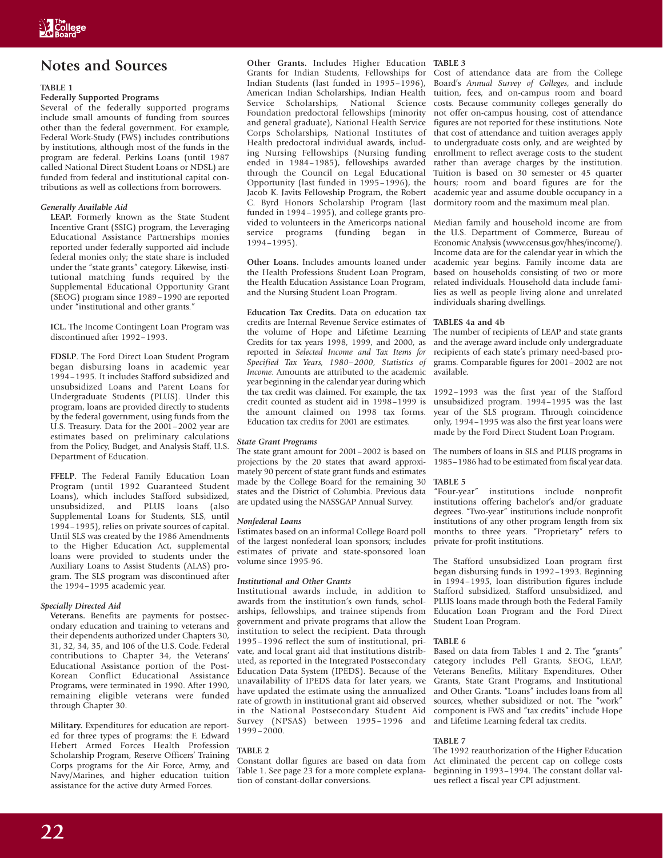# **Notes and Sources**

### **TABLE 1**

### **Federally Supported Programs**

Several of the federally supported programs include small amounts of funding from sources other than the federal government. For example, Federal Work-Study (FWS) includes contributions by institutions, although most of the funds in the program are federal. Perkins Loans (until 1987 called National Direct Student Loans or NDSL) are funded from federal and institutional capital contributions as well as collections from borrowers.

### *Generally Available Aid*

**LEAP.** Formerly known as the State Student Incentive Grant (SSIG) program, the Leveraging Educational Assistance Partnerships monies reported under federally supported aid include federal monies only; the state share is included under the "state grants" category. Likewise, institutional matching funds required by the Supplemental Educational Opportunity Grant (SEOG) program since 1989–1990 are reported under "institutional and other grants."

**ICL.** The Income Contingent Loan Program was discontinued after 1992–1993.

**FDSLP**. The Ford Direct Loan Student Program began disbursing loans in academic year 1994–1995. It includes Stafford subsidized and unsubsidized Loans and Parent Loans for Undergraduate Students (PLUS). Under this program, loans are provided directly to students by the federal government, using funds from the U.S. Treasury. Data for the 2001–2002 year are estimates based on preliminary calculations from the Policy, Budget, and Analysis Staff, U.S. Department of Education.

**FFELP**. The Federal Family Education Loan Program (until 1992 Guaranteed Student Loans), which includes Stafford subsidized, unsubsidized, and PLUS loans (also Supplemental Loans for Students, SLS, until 1994–1995), relies on private sources of capital. Until SLS was created by the 1986 Amendments to the Higher Education Act, supplemental loans were provided to students under the Auxiliary Loans to Assist Students (ALAS) program. The SLS program was discontinued after the 1994–1995 academic year.

### *Specially Directed Aid*

**Veterans.** Benefits are payments for postsecondary education and training to veterans and their dependents authorized under Chapters 30, 31, 32, 34, 35, and 106 of the U.S. Code. Federal contributions to Chapter 34, the Veterans' Educational Assistance portion of the Post-Korean Conflict Educational Assistance Programs, were terminated in 1990. After 1990, remaining eligible veterans were funded through Chapter 30.

**Military.** Expenditures for education are reported for three types of programs: the F. Edward Hebert Armed Forces Health Profession Scholarship Program, Reserve Officers' Training Corps programs for the Air Force, Army, and Navy/Marines, and higher education tuition assistance for the active duty Armed Forces.

**Other Grants.** Includes Higher Education **TABLE 3** Grants for Indian Students, Fellowships for Indian Students (last funded in 1995–1996), American Indian Scholarships, Indian Health Service Scholarships, National Science Foundation predoctoral fellowships (minority and general graduate), National Health Service Corps Scholarships, National Institutes of Health predoctoral individual awards, including Nursing Fellowships (Nursing funding ended in 1984–1985), fellowships awarded through the Council on Legal Educational Opportunity (last funded in 1995–1996), the Jacob K. Javits Fellowship Program, the Robert C. Byrd Honors Scholarship Program (last funded in 1994–1995), and college grants provided to volunteers in the Americorps national service programs (funding began in 1994–1995).

**Other Loans.** Includes amounts loaned under the Health Professions Student Loan Program, the Health Education Assistance Loan Program, and the Nursing Student Loan Program.

**Education Tax Credits.** Data on education tax credits are Internal Revenue Service estimates of the volume of Hope and Lifetime Learning Credits for tax years 1998, 1999, and 2000, as reported in *Selected Income and Tax Items for Specified Tax Years, 1980–2000, Statistics of Income*. Amounts are attributed to the academic year beginning in the calendar year during which the tax credit was claimed. For example, the tax credit counted as student aid in 1998–1999 is the amount claimed on 1998 tax forms. Education tax credits for 2001 are estimates.

### *State Grant Programs*

The state grant amount for 2001–2002 is based on projections by the 20 states that award approximately 90 percent of state grant funds and estimates made by the College Board for the remaining 30 states and the District of Columbia. Previous data are updated using the NASSGAP Annual Survey.

### *Nonfederal Loans*

Estimates based on an informal College Board poll of the largest nonfederal loan sponsors; includes estimates of private and state-sponsored loan volume since 1995-96.

### *Institutional and Other Grants*

Institutional awards include, in addition to awards from the institution's own funds, scholarships, fellowships, and trainee stipends from government and private programs that allow the institution to select the recipient. Data through 1995–1996 reflect the sum of institutional, private, and local grant aid that institutions distributed, as reported in the Integrated Postsecondary Education Data System (IPEDS). Because of the unavailability of IPEDS data for later years, we have updated the estimate using the annualized rate of growth in institutional grant aid observed in the National Postsecondary Student Aid Survey (NPSAS) between 1995–1996 and 1999–2000.

### **TABLE 2**

Constant dollar figures are based on data from Table 1. See page 23 for a more complete explanation of constant-dollar conversions.

Cost of attendance data are from the College Board's *Annual Survey of Colleges*, and include tuition, fees, and on-campus room and board costs. Because community colleges generally do not offer on-campus housing, cost of attendance figures are not reported for these institutions. Note that cost of attendance and tuition averages apply to undergraduate costs only, and are weighted by enrollment to reflect average costs to the student rather than average charges by the institution. Tuition is based on 30 semester or 45 quarter hours; room and board figures are for the academic year and assume double occupancy in a dormitory room and the maximum meal plan.

Median family and household income are from the U.S. Department of Commerce, Bureau of Economic Analysis (www.census.gov/hhes/income/). Income data are for the calendar year in which the academic year begins. Family income data are based on households consisting of two or more related individuals. Household data include families as well as people living alone and unrelated individuals sharing dwellings.

### **TABLES 4a and 4b**

The number of recipients of LEAP and state grants and the average award include only undergraduate recipients of each state's primary need-based programs. Comparable figures for 2001–2002 are not available.

1992–1993 was the first year of the Stafford unsubsidized program. 1994–1995 was the last year of the SLS program. Through coincidence only, 1994–1995 was also the first year loans were made by the Ford Direct Student Loan Program.

The numbers of loans in SLS and PLUS programs in 1985–1986 had to be estimated from fiscal year data.

### **TABLE 5**

"Four-year" institutions include nonprofit institutions offering bachelor's and/or graduate degrees. "Two-year" institutions include nonprofit institutions of any other program length from six months to three years. "Proprietary" refers to private for-profit institutions.

The Stafford unsubsidized Loan program first began disbursing funds in 1992–1993. Beginning in 1994–1995, loan distribution figures include Stafford subsidized, Stafford unsubsidized, and PLUS loans made through both the Federal Family Education Loan Program and the Ford Direct Student Loan Program.

### **TABLE 6**

Based on data from Tables 1 and 2. The "grants" category includes Pell Grants, SEOG, LEAP, Veterans Benefits, Military Expenditures, Other Grants, State Grant Programs, and Institutional and Other Grants. "Loans" includes loans from all sources, whether subsidized or not. The "work" component is FWS and "tax credits" include Hope and Lifetime Learning federal tax credits.

### **TABLE 7**

The 1992 reauthorization of the Higher Education Act eliminated the percent cap on college costs beginning in 1993–1994. The constant dollar values reflect a fiscal year CPI adjustment.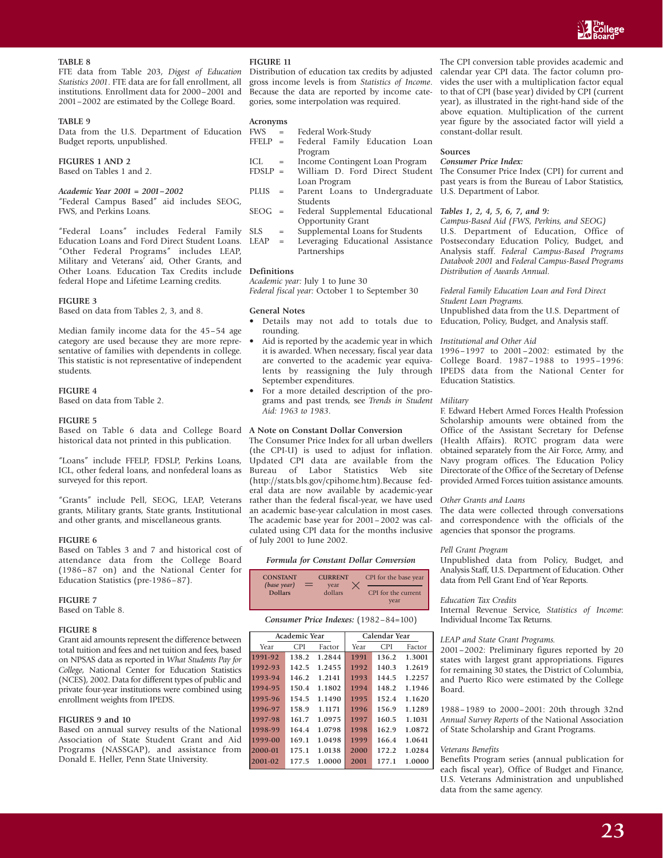

### **TABLE 8**

FTE data from Table 203, *Digest of Education Statistics 2001*. FTE data are for fall enrollment, all institutions. Enrollment data for 2000–2001 and 2001–2002 are estimated by the College Board.

### **TABLE 9**

Data from the U.S. Department of Education Budget reports, unpublished.

### **FIGURES 1 AND 2**

Based on Tables 1 and 2.

### *Academic Year 2001 = 2001–2002*

"Federal Campus Based" aid includes SEOG, FWS, and Perkins Loans.

"Federal Loans" includes Federal Family Education Loans and Ford Direct Student Loans. "Other Federal Programs" includes LEAP, Military and Veterans' aid, Other Grants, and Other Loans. Education Tax Credits include **Definitions** federal Hope and Lifetime Learning credits.

### **FIGURE 3**

Based on data from Tables 2, 3, and 8.

Median family income data for the 45–54 age category are used because they are more representative of families with dependents in college. This statistic is not representative of independent students.

### **FIGURE 4**

Based on data from Table 2.

### **FIGURE 5**

Based on Table 6 data and College Board **A Note on Constant Dollar Conversion** historical data not printed in this publication.

"Loans" include FFELP, FDSLP, Perkins Loans, ICL, other federal loans, and nonfederal loans as surveyed for this report.

"Grants" include Pell, SEOG, LEAP, Veterans grants, Military grants, State grants, Institutional and other grants, and miscellaneous grants.

### **FIGURE 6**

Based on Tables 3 and 7 and historical cost of attendance data from the College Board (1986–87 on) and the National Center for Education Statistics (pre-1986–87).

### **FIGURE 7**

Based on Table 8.

### **FIGURE 8**

Grant aid amounts represent the difference between total tuition and fees and net tuition and fees, based on NPSAS data as reported in *What Students Pay for College*, National Center for Education Statistics (NCES), 2002. Data for different types of public and private four-year institutions were combined using enrollment weights from IPEDS.

### **FIGURES 9 and 10**

Based on annual survey results of the National Association of State Student Grant and Aid Programs (NASSGAP), and assistance from Donald E. Heller, Penn State University.

### **FIGURE 11**

Distribution of education tax credits by adjusted gross income levels is from *Statistics of Income*. Because the data are reported by income categories, some interpolation was required.

### **Acronyms**

| FWS       | $\mathbf{r} = \mathbf{r}$ |         | Federal Work-Study |                               |  |
|-----------|---------------------------|---------|--------------------|-------------------------------|--|
| $FFLIP =$ |                           |         |                    | Federal Family Education Loan |  |
|           |                           | Program |                    |                               |  |
|           |                           |         |                    |                               |  |

- ICL = Income Contingent Loan Program FDSLP = William D. Ford Direct Student Loan Program
- PLUS = Parent Loans to Undergraduate Students
- SEOG = Federal Supplemental Educational Opportunity Grant
	- Supplemental Loans for Students
- LEAP = Leveraging Educational Assistance Partnerships

*Academic year:* July 1 to June 30 *Federal fiscal year:* October 1 to September 30

### **General Notes**

- Details may not add to totals due to rounding.
- Aid is reported by the academic year in which it is awarded. When necessary, fiscal year data are converted to the academic year equivalents by reassigning the July through September expenditures.
- For a more detailed description of the programs and past trends, see *Trends in Student Aid: 1963 to 1983*.

The Consumer Price Index for all urban dwellers (the CPI-U) is used to adjust for inflation. Updated CPI data are available from the Bureau of Labor Statistics Web site (http://stats.bls.gov/cpihome.htm).Because federal data are now available by academic-year rather than the federal fiscal-year, we have used an academic base-year calculation in most cases. The academic base year for 2001–2002 was calculated using CPI data for the months inclusive of July 2001 to June 2002.

### *Formula for Constant Dollar Conversion*

| <b>CONSTANT</b>               |   | <b>CURRENT</b>  | CPI for the base year       |
|-------------------------------|---|-----------------|-----------------------------|
| (base year)<br><b>Dollars</b> | ⋍ | vear<br>dollars | CPI for the current<br>year |

### *Consumer Price Indexes:* (1982–84=100)

|         | <b>Academic Year</b> |        |      | Calendar Year |        |
|---------|----------------------|--------|------|---------------|--------|
| Year    | CPI                  | Factor | Year | <b>CPI</b>    | Factor |
| 1991-92 | 138.2                | 1.2844 | 1991 | 136.2         | 1.3001 |
| 1992-93 | 142.5                | 1.2455 | 1992 | 140.3         | 1.2619 |
| 1993-94 | 146.2                | 1.2141 | 1993 | 144.5         | 1.2257 |
| 1994-95 | 150.4                | 1.1802 | 1994 | 148.2         | 1.1946 |
| 1995-96 | 154.5                | 1.1490 | 1995 | 152.4         | 1.1620 |
| 1996-97 | 158.9                | 1.1171 | 1996 | 156.9         | 1.1289 |
| 1997-98 | 161.7                | 1.0975 | 1997 | 160.5         | 1.1031 |
| 1998-99 | 164.4                | 1.0798 | 1998 | 162.9         | 1.0872 |
| 1999-00 | 169.1                | 1.0498 | 1999 | 166.4         | 1.0641 |
| 2000-01 | 175.1                | 1.0138 | 2000 | 172.2         | 1.0284 |
| 2001-02 | 177.5                | 1.0000 | 2001 | 177.1         | 1.0000 |

The CPI conversion table provides academic and calendar year CPI data. The factor column provides the user with a multiplication factor equal to that of CPI (base year) divided by CPI (current year), as illustrated in the right-hand side of the above equation. Multiplication of the current year figure by the associated factor will yield a constant-dollar result.

### **Sources**

### *Consumer Price Index:*

The Consumer Price Index (CPI) for current and past years is from the Bureau of Labor Statistics, U.S. Department of Labor.

### *Tables 1, 2, 4, 5, 6, 7, and 9:*

*Campus-Based Aid (FWS, Perkins, and SEOG)* U.S. Department of Education, Office of Postsecondary Education Policy, Budget, and Analysis staff. *Federal Campus-Based Programs Databook 2001* and *Federal Campus-Based Programs Distribution of Awards Annual*.

### *Federal Family Education Loan and Ford Direct Student Loan Programs.*

Unpublished data from the U.S. Department of Education, Policy, Budget, and Analysis staff.

### *Institutional and Other Aid*

1996–1997 to 2001–2002: estimated by the College Board. 1987–1988 to 1995–1996: IPEDS data from the National Center for Education Statistics.

### *Military*

F. Edward Hebert Armed Forces Health Profession Scholarship amounts were obtained from the Office of the Assistant Secretary for Defense (Health Affairs). ROTC program data were obtained separately from the Air Force, Army, and Navy program offices. The Education Policy Directorate of the Office of the Secretary of Defense provided Armed Forces tuition assistance amounts.

### *Other Grants and Loans*

The data were collected through conversations and correspondence with the officials of the agencies that sponsor the programs.

# *Pell Grant Program*

Unpublished data from Policy, Budget, and Analysis Staff, U.S. Department of Education. Other data from Pell Grant End of Year Reports.

### *Education Tax Credits*

Internal Revenue Service, *Statistics of Income*: Individual Income Tax Returns.

### *LEAP and State Grant Programs.*

2001–2002: Preliminary figures reported by 20 states with largest grant appropriations. Figures for remaining 30 states, the District of Columbia, and Puerto Rico were estimated by the College Board.

1988–1989 to 2000–2001: 20th through 32nd *Annual Survey Reports* of the National Association of State Scholarship and Grant Programs.

### *Veterans Benefits*

Benefits Program series (annual publication for each fiscal year), Office of Budget and Finance, U.S. Veterans Administration and unpublished data from the same agency.